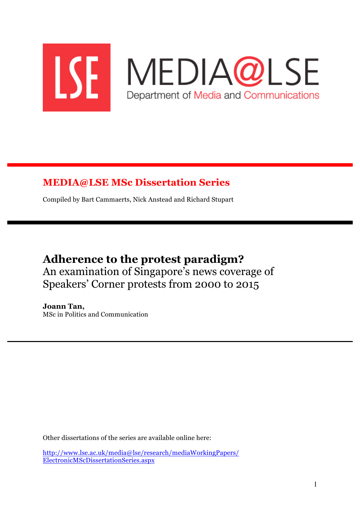

## **MEDIA@LSE MSc Dissertation Series**

Compiled by Bart Cammaerts, Nick Anstead and Richard Stupart

# **Adherence to the protest paradigm?** An examination of Singapore's news coverage of Speakers' Corner protests from 2000 to 2015

**Joann Tan,** MSc in Politics and Communication

Other dissertations of the series are available online here:

http://www.lse.ac.uk/media@lse/research/mediaWorkingPapers/ ElectronicMScDissertationSeries.aspx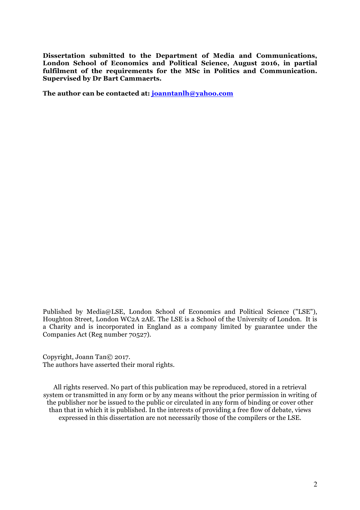**Dissertation submitted to the Department of Media and Communications, London School of Economics and Political Science, August 2016, in partial fulfilment of the requirements for the MSc in Politics and Communication. Supervised by Dr Bart Cammaerts.**

**The author can be contacted at: joanntanlh@yahoo.com**

Published by Media@LSE, London School of Economics and Political Science ("LSE"), Houghton Street, London WC2A 2AE. The LSE is a School of the University of London. It is a Charity and is incorporated in England as a company limited by guarantee under the Companies Act (Reg number 70527).

Copyright, Joann Tan© 2017. The authors have asserted their moral rights.

All rights reserved. No part of this publication may be reproduced, stored in a retrieval system or transmitted in any form or by any means without the prior permission in writing of the publisher nor be issued to the public or circulated in any form of binding or cover other than that in which it is published. In the interests of providing a free flow of debate, views expressed in this dissertation are not necessarily those of the compilers or the LSE.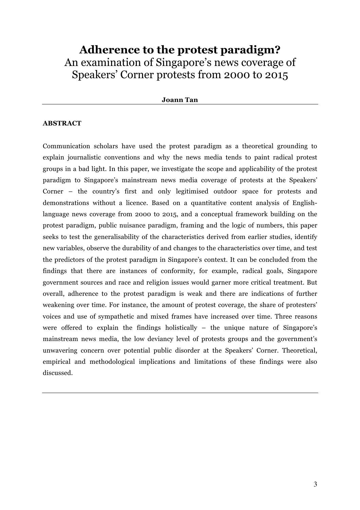## **Adherence to the protest paradigm?** An examination of Singapore's news coverage of Speakers' Corner protests from 2000 to 2015

#### **Joann Tan**

## **ABSTRACT**

Communication scholars have used the protest paradigm as a theoretical grounding to explain journalistic conventions and why the news media tends to paint radical protest groups in a bad light. In this paper, we investigate the scope and applicability of the protest paradigm to Singapore's mainstream news media coverage of protests at the Speakers' Corner – the country's first and only legitimised outdoor space for protests and demonstrations without a licence. Based on a quantitative content analysis of Englishlanguage news coverage from 2000 to 2015, and a conceptual framework building on the protest paradigm, public nuisance paradigm, framing and the logic of numbers, this paper seeks to test the generalisability of the characteristics derived from earlier studies, identify new variables, observe the durability of and changes to the characteristics over time, and test the predictors of the protest paradigm in Singapore's context. It can be concluded from the findings that there are instances of conformity, for example, radical goals, Singapore government sources and race and religion issues would garner more critical treatment. But overall, adherence to the protest paradigm is weak and there are indications of further weakening over time. For instance, the amount of protest coverage, the share of protesters' voices and use of sympathetic and mixed frames have increased over time. Three reasons were offered to explain the findings holistically – the unique nature of Singapore's mainstream news media, the low deviancy level of protests groups and the government's unwavering concern over potential public disorder at the Speakers' Corner. Theoretical, empirical and methodological implications and limitations of these findings were also discussed.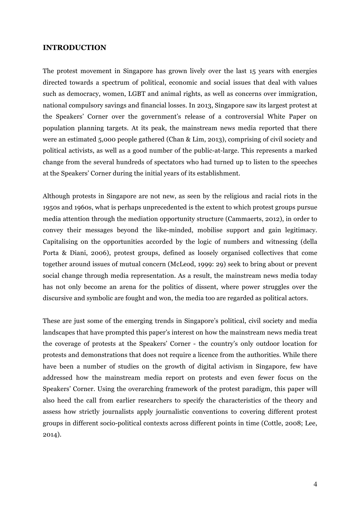## **INTRODUCTION**

The protest movement in Singapore has grown lively over the last 15 years with energies directed towards a spectrum of political, economic and social issues that deal with values such as democracy, women, LGBT and animal rights, as well as concerns over immigration, national compulsory savings and financial losses. In 2013, Singapore saw its largest protest at the Speakers' Corner over the government's release of a controversial White Paper on population planning targets. At its peak, the mainstream news media reported that there were an estimated 5,000 people gathered (Chan & Lim, 2013), comprising of civil society and political activists, as well as a good number of the public-at-large. This represents a marked change from the several hundreds of spectators who had turned up to listen to the speeches at the Speakers' Corner during the initial years of its establishment.

Although protests in Singapore are not new, as seen by the religious and racial riots in the 1950s and 1960s, what is perhaps unprecedented is the extent to which protest groups pursue media attention through the mediation opportunity structure (Cammaerts, 2012), in order to convey their messages beyond the like-minded, mobilise support and gain legitimacy. Capitalising on the opportunities accorded by the logic of numbers and witnessing (della Porta & Diani, 2006), protest groups, defined as loosely organised collectives that come together around issues of mutual concern (McLeod, 1999: 29) seek to bring about or prevent social change through media representation. As a result, the mainstream news media today has not only become an arena for the politics of dissent, where power struggles over the discursive and symbolic are fought and won, the media too are regarded as political actors.

These are just some of the emerging trends in Singapore's political, civil society and media landscapes that have prompted this paper's interest on how the mainstream news media treat the coverage of protests at the Speakers' Corner - the country's only outdoor location for protests and demonstrations that does not require a licence from the authorities. While there have been a number of studies on the growth of digital activism in Singapore, few have addressed how the mainstream media report on protests and even fewer focus on the Speakers' Corner. Using the overarching framework of the protest paradigm, this paper will also heed the call from earlier researchers to specify the characteristics of the theory and assess how strictly journalists apply journalistic conventions to covering different protest groups in different socio-political contexts across different points in time (Cottle, 2008; Lee, 2014).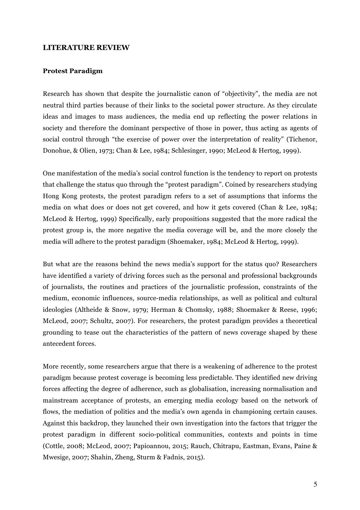## **LITERATURE REVIEW**

#### **Protest Paradigm**

Research has shown that despite the journalistic canon of "objectivity", the media are not neutral third parties because of their links to the societal power structure. As they circulate ideas and images to mass audiences, the media end up reflecting the power relations in society and therefore the dominant perspective of those in power, thus acting as agents of social control through "the exercise of power over the interpretation of reality" (Tichenor, Donohue, & Olien, 1973; Chan & Lee, 1984; Schlesinger, 1990; McLeod & Hertog, 1999).

One manifestation of the media's social control function is the tendency to report on protests that challenge the status quo through the "protest paradigm". Coined by researchers studying Hong Kong protests, the protest paradigm refers to a set of assumptions that informs the media on what does or does not get covered, and how it gets covered (Chan & Lee, 1984; McLeod & Hertog, 1999) Specifically, early propositions suggested that the more radical the protest group is, the more negative the media coverage will be, and the more closely the media will adhere to the protest paradigm (Shoemaker, 1984; McLeod & Hertog, 1999).

But what are the reasons behind the news media's support for the status quo? Researchers have identified a variety of driving forces such as the personal and professional backgrounds of journalists, the routines and practices of the journalistic profession, constraints of the medium, economic influences, source-media relationships, as well as political and cultural ideologies (Altheide & Snow, 1979; Herman & Chomsky, 1988; Shoemaker & Reese, 1996; McLeod, 2007; Schultz, 2007). For researchers, the protest paradigm provides a theoretical grounding to tease out the characteristics of the pattern of news coverage shaped by these antecedent forces.

More recently, some researchers argue that there is a weakening of adherence to the protest paradigm because protest coverage is becoming less predictable. They identified new driving forces affecting the degree of adherence, such as globalisation, increasing normalisation and mainstream acceptance of protests, an emerging media ecology based on the network of flows, the mediation of politics and the media's own agenda in championing certain causes. Against this backdrop, they launched their own investigation into the factors that trigger the protest paradigm in different socio-political communities, contexts and points in time (Cottle, 2008; McLeod, 2007; Papioannou, 2015; Rauch, Chitrapu, Eastman, Evans, Paine & Mwesige, 2007; Shahin, Zheng, Sturm & Fadnis, 2015).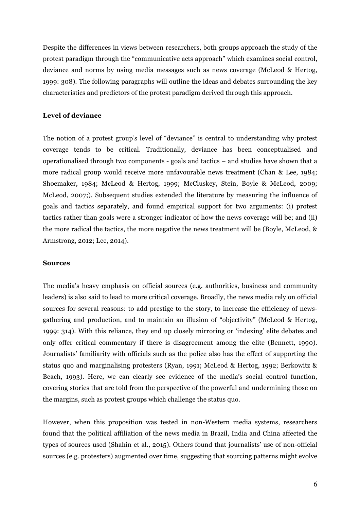Despite the differences in views between researchers, both groups approach the study of the protest paradigm through the "communicative acts approach" which examines social control, deviance and norms by using media messages such as news coverage (McLeod & Hertog, 1999: 308). The following paragraphs will outline the ideas and debates surrounding the key characteristics and predictors of the protest paradigm derived through this approach.

### **Level of deviance**

The notion of a protest group's level of "deviance" is central to understanding why protest coverage tends to be critical. Traditionally, deviance has been conceptualised and operationalised through two components - goals and tactics – and studies have shown that a more radical group would receive more unfavourable news treatment (Chan & Lee, 1984; Shoemaker, 1984; McLeod & Hertog, 1999; McCluskey, Stein, Boyle & McLeod, 2009; McLeod, 2007;). Subsequent studies extended the literature by measuring the influence of goals and tactics separately, and found empirical support for two arguments: (i) protest tactics rather than goals were a stronger indicator of how the news coverage will be; and (ii) the more radical the tactics, the more negative the news treatment will be (Boyle, McLeod, & Armstrong, 2012; Lee, 2014).

#### **Sources**

The media's heavy emphasis on official sources (e.g. authorities, business and community leaders) is also said to lead to more critical coverage. Broadly, the news media rely on official sources for several reasons: to add prestige to the story, to increase the efficiency of newsgathering and production, and to maintain an illusion of "objectivity" (McLeod & Hertog, 1999: 314). With this reliance, they end up closely mirroring or 'indexing' elite debates and only offer critical commentary if there is disagreement among the elite (Bennett, 1990). Journalists' familiarity with officials such as the police also has the effect of supporting the status quo and marginalising protesters (Ryan, 1991; McLeod & Hertog, 1992; Berkowitz & Beach, 1993). Here, we can clearly see evidence of the media's social control function, covering stories that are told from the perspective of the powerful and undermining those on the margins, such as protest groups which challenge the status quo.

However, when this proposition was tested in non-Western media systems, researchers found that the political affiliation of the news media in Brazil, India and China affected the types of sources used (Shahin et al., 2015). Others found that journalists' use of non-official sources (e.g. protesters) augmented over time, suggesting that sourcing patterns might evolve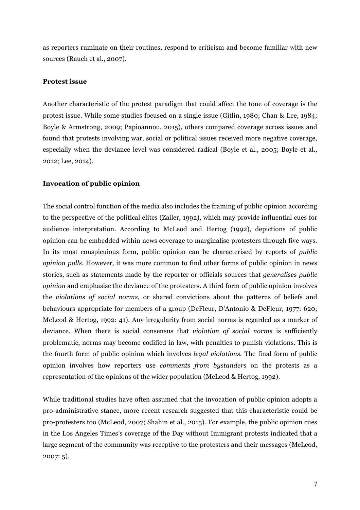as reporters ruminate on their routines, respond to criticism and become familiar with new sources (Rauch et al., 2007).

### **Protest issue**

Another characteristic of the protest paradigm that could affect the tone of coverage is the protest issue. While some studies focused on a single issue (Gitlin, 1980; Chan & Lee, 1984; Boyle & Armstrong, 2009; Papioannou, 2015), others compared coverage across issues and found that protests involving war, social or political issues received more negative coverage, especially when the deviance level was considered radical (Boyle et al., 2005; Boyle et al., 2012; Lee, 2014).

## **Invocation of public opinion**

The social control function of the media also includes the framing of public opinion according to the perspective of the political elites (Zaller, 1992), which may provide influential cues for audience interpretation. According to McLeod and Hertog (1992), depictions of public opinion can be embedded within news coverage to marginalise protesters through five ways. In its most conspicuious form, public opinion can be characterised by reports of *public opinion polls*. However, it was more common to find other forms of public opinion in news stories, such as statements made by the reporter or officials sources that *generalises public opinion* and emphasise the deviance of the protesters. A third form of public opinion involves the *violations of social norms,* or shared convictions about the patterns of beliefs and behaviours appropriate for members of a group (DeFleur, D'Antonio & DeFleur, 1977: 620; McLeod & Hertog, 1992: 41). Any irregularity from social norms is regarded as a marker of deviance. When there is social consensus that *violation of social norms* is sufficiently problematic, norms may become codified in law, with penalties to punish violations. This is the fourth form of public opinion which involves *legal violations*. The final form of public opinion involves how reporters use *comments from bystanders* on the protests as a representation of the opinions of the wider population (McLeod & Hertog, 1992).

While traditional studies have often assumed that the invocation of public opinion adopts a pro-administrative stance, more recent research suggested that this characteristic could be pro-protesters too (McLeod, 2007; Shahin et al., 2015). For example, the public opinion cues in the Los Angeles Times's coverage of the Day without Immigrant protests indicated that a large segment of the community was receptive to the protesters and their messages (McLeod, 2007: 5).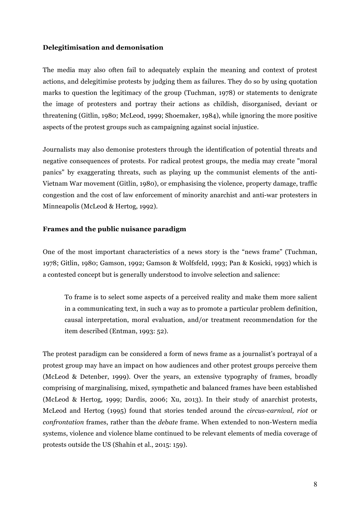## **Delegitimisation and demonisation**

The media may also often fail to adequately explain the meaning and context of protest actions, and delegitimise protests by judging them as failures. They do so by using quotation marks to question the legitimacy of the group (Tuchman, 1978) or statements to denigrate the image of protesters and portray their actions as childish, disorganised, deviant or threatening (Gitlin, 1980; McLeod, 1999; Shoemaker, 1984), while ignoring the more positive aspects of the protest groups such as campaigning against social injustice.

Journalists may also demonise protesters through the identification of potential threats and negative consequences of protests. For radical protest groups, the media may create "moral panics" by exaggerating threats, such as playing up the communist elements of the anti-Vietnam War movement (Gitlin, 1980), or emphasising the violence, property damage, traffic congestion and the cost of law enforcement of minority anarchist and anti-war protesters in Minneapolis (McLeod & Hertog, 1992).

## **Frames and the public nuisance paradigm**

One of the most important characteristics of a news story is the "news frame" (Tuchman, 1978; Gitlin, 1980; Gamson, 1992; Gamson & Wolfsfeld, 1993; Pan & Kosicki, 1993) which is a contested concept but is generally understood to involve selection and salience:

To frame is to select some aspects of a perceived reality and make them more salient in a communicating text, in such a way as to promote a particular problem definition, causal interpretation, moral evaluation, and/or treatment recommendation for the item described (Entman, 1993: 52).

The protest paradigm can be considered a form of news frame as a journalist's portrayal of a protest group may have an impact on how audiences and other protest groups perceive them (McLeod & Detenber, 1999). Over the years, an extensive typography of frames, broadly comprising of marginalising, mixed, sympathetic and balanced frames have been established (McLeod & Hertog, 1999; Dardis, 2006; Xu, 2013). In their study of anarchist protests, McLeod and Hertog (1995) found that stories tended around the *circus-carnival, riot* or *confrontation* frames, rather than the *debate* frame. When extended to non-Western media systems, violence and violence blame continued to be relevant elements of media coverage of protests outside the US (Shahin et al., 2015: 159).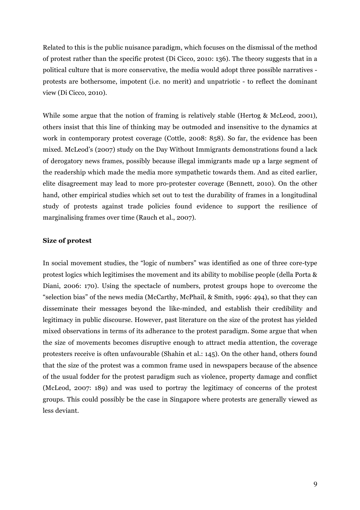Related to this is the public nuisance paradigm, which focuses on the dismissal of the method of protest rather than the specific protest (Di Cicco, 2010: 136). The theory suggests that in a political culture that is more conservative, the media would adopt three possible narratives protests are bothersome, impotent (i.e. no merit) and unpatriotic - to reflect the dominant view (Di Cicco, 2010).

While some argue that the notion of framing is relatively stable (Hertog & McLeod, 2001), others insist that this line of thinking may be outmoded and insensitive to the dynamics at work in contemporary protest coverage (Cottle, 2008: 858). So far, the evidence has been mixed. McLeod's (2007) study on the Day Without Immigrants demonstrations found a lack of derogatory news frames, possibly because illegal immigrants made up a large segment of the readership which made the media more sympathetic towards them. And as cited earlier, elite disagreement may lead to more pro-protester coverage (Bennett, 2010). On the other hand, other empirical studies which set out to test the durability of frames in a longitudinal study of protests against trade policies found evidence to support the resilience of marginalising frames over time (Rauch et al., 2007).

#### **Size of protest**

In social movement studies, the "logic of numbers" was identified as one of three core-type protest logics which legitimises the movement and its ability to mobilise people (della Porta & Diani, 2006: 170). Using the spectacle of numbers, protest groups hope to overcome the "selection bias" of the news media (McCarthy, McPhail, & Smith, 1996: 494), so that they can disseminate their messages beyond the like-minded, and establish their credibility and legitimacy in public discourse. However, past literature on the size of the protest has yielded mixed observations in terms of its adherance to the protest paradigm. Some argue that when the size of movements becomes disruptive enough to attract media attention, the coverage protesters receive is often unfavourable (Shahin et al.: 145). On the other hand, others found that the size of the protest was a common frame used in newspapers because of the absence of the usual fodder for the protest paradigm such as violence, property damage and conflict (McLeod, 2007: 189) and was used to portray the legitimacy of concerns of the protest groups. This could possibly be the case in Singapore where protests are generally viewed as less deviant.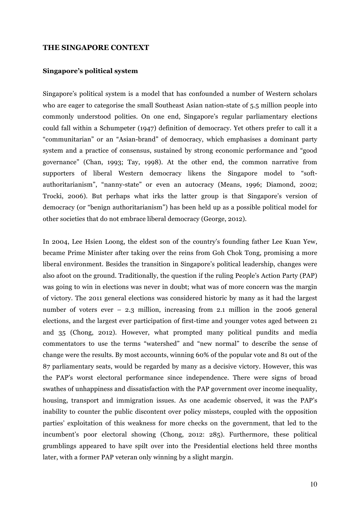#### **THE SINGAPORE CONTEXT**

#### **Singapore's political system**

Singapore's political system is a model that has confounded a number of Western scholars who are eager to categorise the small Southeast Asian nation-state of 5.5 million people into commonly understood polities. On one end, Singapore's regular parliamentary elections could fall within a Schumpeter (1947) definition of democracy. Yet others prefer to call it a "communitarian" or an "Asian-brand" of democracy, which emphasises a dominant party system and a practice of consensus, sustained by strong economic performance and "good governance" (Chan, 1993; Tay, 1998). At the other end, the common narrative from supporters of liberal Western democracy likens the Singapore model to "softauthoritarianism", "nanny-state" or even an autocracy (Means, 1996; Diamond, 2002; Trocki, 2006). But perhaps what irks the latter group is that Singapore's version of democracy (or "benign authoritarianism") has been held up as a possible political model for other societies that do not embrace liberal democracy (George, 2012).

In 2004, Lee Hsien Loong, the eldest son of the country's founding father Lee Kuan Yew, became Prime Minister after taking over the reins from Goh Chok Tong, promising a more liberal environment. Besides the transition in Singapore's political leadership, changes were also afoot on the ground. Traditionally, the question if the ruling People's Action Party (PAP) was going to win in elections was never in doubt; what was of more concern was the margin of victory. The 2011 general elections was considered historic by many as it had the largest number of voters ever – 2.3 million, increasing from 2.1 million in the 2006 general elections, and the largest ever participation of first-time and younger votes aged between 21 and 35 (Chong, 2012). However, what prompted many political pundits and media commentators to use the terms "watershed" and "new normal" to describe the sense of change were the results. By most accounts, winning 60% of the popular vote and 81 out of the 87 parliamentary seats, would be regarded by many as a decisive victory. However, this was the PAP's worst electoral performance since independence. There were signs of broad swathes of unhappiness and dissatisfaction with the PAP government over income inequality, housing, transport and immigration issues. As one academic observed, it was the PAP's inability to counter the public discontent over policy missteps, coupled with the opposition parties' exploitation of this weakness for more checks on the government, that led to the incumbent's poor electoral showing (Chong, 2012: 285). Furthermore, these political grumblings appeared to have spilt over into the Presidential elections held three months later, with a former PAP veteran only winning by a slight margin.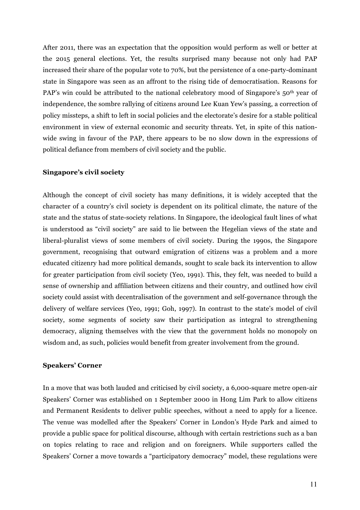After 2011, there was an expectation that the opposition would perform as well or better at the 2015 general elections. Yet, the results surprised many because not only had PAP increased their share of the popular vote to 70%, but the persistence of a one-party-dominant state in Singapore was seen as an affront to the rising tide of democratisation. Reasons for PAP's win could be attributed to the national celebratory mood of Singapore's 50<sup>th</sup> year of independence, the sombre rallying of citizens around Lee Kuan Yew's passing, a correction of policy missteps, a shift to left in social policies and the electorate's desire for a stable political environment in view of external economic and security threats. Yet, in spite of this nationwide swing in favour of the PAP, there appears to be no slow down in the expressions of political defiance from members of civil society and the public.

#### **Singapore's civil society**

Although the concept of civil society has many definitions, it is widely accepted that the character of a country's civil society is dependent on its political climate, the nature of the state and the status of state-society relations. In Singapore, the ideological fault lines of what is understood as "civil society" are said to lie between the Hegelian views of the state and liberal-pluralist views of some members of civil society. During the 1990s, the Singapore government, recognising that outward emigration of citizens was a problem and a more educated citizenry had more political demands, sought to scale back its intervention to allow for greater participation from civil society (Yeo, 1991). This, they felt, was needed to build a sense of ownership and affiliation between citizens and their country, and outlined how civil society could assist with decentralisation of the government and self-governance through the delivery of welfare services (Yeo, 1991; Goh, 1997). In contrast to the state's model of civil society, some segments of society saw their participation as integral to strengthening democracy, aligning themselves with the view that the government holds no monopoly on wisdom and, as such, policies would benefit from greater involvement from the ground.

#### **Speakers' Corner**

In a move that was both lauded and criticised by civil society, a 6,000-square metre open-air Speakers' Corner was established on 1 September 2000 in Hong Lim Park to allow citizens and Permanent Residents to deliver public speeches, without a need to apply for a licence. The venue was modelled after the Speakers' Corner in London's Hyde Park and aimed to provide a public space for political discourse, although with certain restrictions such as a ban on topics relating to race and religion and on foreigners. While supporters called the Speakers' Corner a move towards a "participatory democracy" model, these regulations were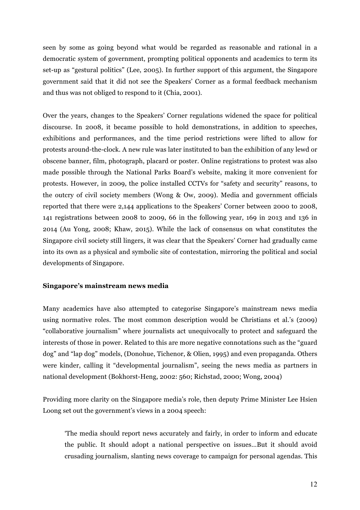seen by some as going beyond what would be regarded as reasonable and rational in a democratic system of government, prompting political opponents and academics to term its set-up as "gestural politics" (Lee, 2005). In further support of this argument, the Singapore government said that it did not see the Speakers' Corner as a formal feedback mechanism and thus was not obliged to respond to it (Chia, 2001).

Over the years, changes to the Speakers' Corner regulations widened the space for political discourse. In 2008, it became possible to hold demonstrations, in addition to speeches, exhibitions and performances, and the time period restrictions were lifted to allow for protests around-the-clock. A new rule was later instituted to ban the exhibition of any lewd or obscene banner, film, photograph, placard or poster. Online registrations to protest was also made possible through the National Parks Board's website, making it more convenient for protests. However, in 2009, the police installed CCTVs for "safety and security" reasons, to the outcry of civil society members (Wong & Ow, 2009). Media and government officials reported that there were 2,144 applications to the Speakers' Corner between 2000 to 2008, 141 registrations between 2008 to 2009, 66 in the following year, 169 in 2013 and 136 in 2014 (Au Yong, 2008; Khaw, 2015). While the lack of consensus on what constitutes the Singapore civil society still lingers, it was clear that the Speakers' Corner had gradually came into its own as a physical and symbolic site of contestation, mirroring the political and social developments of Singapore.

## **Singapore's mainstream news media**

Many academics have also attempted to categorise Singapore's mainstream news media using normative roles. The most common description would be Christians et al.'s (2009) "collaborative journalism" where journalists act unequivocally to protect and safeguard the interests of those in power. Related to this are more negative connotations such as the "guard dog" and "lap dog" models, (Donohue, Tichenor, & Olien, 1995) and even propaganda. Others were kinder, calling it "developmental journalism", seeing the news media as partners in national development (Bokhorst-Heng, 2002: 560; Richstad, 2000; Wong, 2004)

Providing more clarity on the Singapore media's role, then deputy Prime Minister Lee Hsien Loong set out the government's views in a 2004 speech:

'The media should report news accurately and fairly, in order to inform and educate the public. It should adopt a national perspective on issues…But it should avoid crusading journalism, slanting news coverage to campaign for personal agendas. This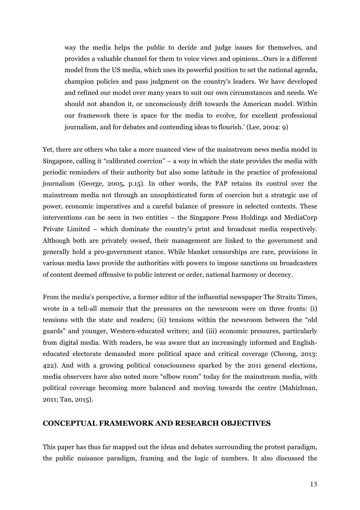way the media helps the public to decide and judge issues for themselves, and provides a valuable channel for them to voice views and opinions…Ours is a different model from the US media, which uses its powerful position to set the national agenda, champion policies and pass judgment on the country's leaders. We have developed and refined our model over many years to suit our own circumstances and needs. We should not abandon it, or unconsciously drift towards the American model. Within our framework there is space for the media to evolve, for excellent professional journalism, and for debates and contending ideas to flourish.' (Lee, 2004: 9)

Yet, there are others who take a more nuanced view of the mainstream news media model in Singapore, calling it "calibrated coercion" – a way in which the state provides the media with periodic reminders of their authority but also some latitude in the practice of professional journalism (George, 2005, p.15). In other words, the PAP retains its control over the mainstream media not through an unsophisticated form of coercion but a strategic use of power, economic imperatives and a careful balance of pressure in selected contexts. These interventions can be seen in two entities – the Singapore Press Holdings and MediaCorp Private Limited – which dominate the country's print and broadcast media respectively. Although both are privately owned, their management are linked to the government and generally hold a pro-government stance. While blanket censorships are rare, provisions in various media laws provide the authorities with powers to impose sanctions on broadcasters of content deemed offensive to public interest or order, national harmony or decency.

From the media's perspective, a former editor of the influential newspaper The Straits Times, wrote in a tell-all memoir that the pressures on the newsroom were on three fronts: (i) tensions with the state and readers; (ii) tensions within the newsroom between the "old guards" and younger, Western-educated writers; and (iii) economic pressures, particularly from digital media. With readers, he was aware that an increasingly informed and Englisheducated electorate demanded more political space and critical coverage (Cheong, 2013: 422). And with a growing political consciousness sparked by the 2011 general elections, media observers have also noted more "elbow room" today for the mainstream media, with political coverage becoming more balanced and moving towards the centre (Mahizhnan, 2011; Tan, 2015).

## **CONCEPTUAL FRAMEWORK AND RESEARCH OBJECTIVES**

This paper has thus far mapped out the ideas and debates surrounding the protest paradigm, the public nuisance paradigm, framing and the logic of numbers. It also discussed the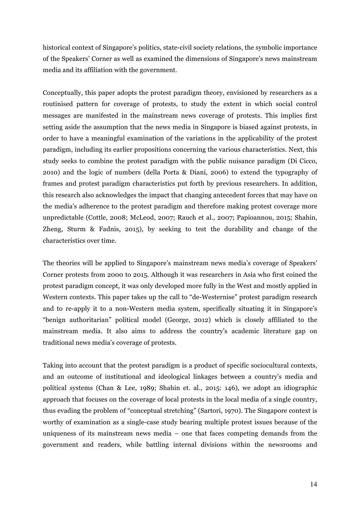historical context of Singapore's politics, state-civil society relations, the symbolic importance of the Speakers' Corner as well as examined the dimensions of Singapore's news mainstream media and its affiliation with the government.

Conceptually, this paper adopts the protest paradigm theory, envisioned by researchers as a routinised pattern for coverage of protests, to study the extent in which social control messages are manifested in the mainstream news coverage of protests. This implies first setting aside the assumption that the news media in Singapore is biased against protests, in order to have a meaningful examination of the variations in the applicability of the protest paradigm, including its earlier propositions concerning the various characteristics. Next, this study seeks to combine the protest paradigm with the public nuisance paradigm (Di Cicco, 2010) and the logic of numbers (della Porta & Diani, 2006) to extend the typography of frames and protest paradigm characteristics put forth by previous researchers. In addition, this research also acknowledges the impact that changing antecedent forces that may have on the media's adherence to the protest paradigm and therefore making protest coverage more unpredictable (Cottle, 2008; McLeod, 2007; Rauch et al., 2007; Papioannou, 2015; Shahin, Zheng, Sturm & Fadnis, 2015), by seeking to test the durability and change of the characteristics over time.

The theories will be applied to Singapore's mainstream news media's coverage of Speakers' Corner protests from 2000 to 2015. Although it was researchers in Asia who first coined the protest paradigm concept, it was only developed more fully in the West and mostly applied in Western contexts. This paper takes up the call to "de-Westernise" protest paradigm research and to re-apply it to a non-Western media system, specifically situating it in Singapore's "benign authoritarian" political model (George, 2012) which is closely affiliated to the mainstream media. It also aims to address the country's academic literature gap on traditional news media's coverage of protests.

Taking into account that the protest paradigm is a product of specific sociocultural contexts, and an outcome of institutional and ideological linkages between a country's media and political systems (Chan & Lee, 1989; Shahin et. al., 2015: 146), we adopt an idiographic approach that focuses on the coverage of local protests in the local media of a single country, thus evading the problem of "conceptual stretching" (Sartori, 1970). The Singapore context is worthy of examination as a single-case study bearing multiple protest issues because of the uniqueness of its mainstream news media – one that faces competing demands from the government and readers, while battling internal divisions within the newsrooms and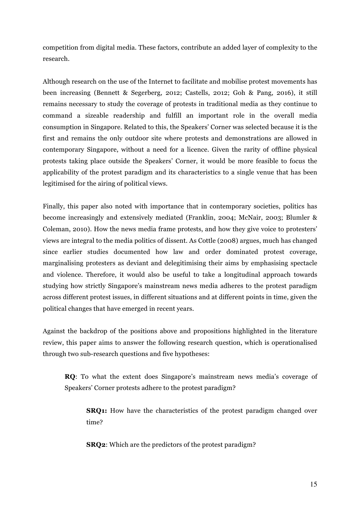competition from digital media. These factors, contribute an added layer of complexity to the research.

Although research on the use of the Internet to facilitate and mobilise protest movements has been increasing (Bennett & Segerberg, 2012; Castells, 2012; Goh & Pang, 2016), it still remains necessary to study the coverage of protests in traditional media as they continue to command a sizeable readership and fulfill an important role in the overall media consumption in Singapore. Related to this, the Speakers' Corner was selected because it is the first and remains the only outdoor site where protests and demonstrations are allowed in contemporary Singapore, without a need for a licence. Given the rarity of offline physical protests taking place outside the Speakers' Corner, it would be more feasible to focus the applicability of the protest paradigm and its characteristics to a single venue that has been legitimised for the airing of political views.

Finally, this paper also noted with importance that in contemporary societies, politics has become increasingly and extensively mediated (Franklin, 2004; McNair, 2003; Blumler & Coleman, 2010). How the news media frame protests, and how they give voice to protesters' views are integral to the media politics of dissent. As Cottle (2008) argues, much has changed since earlier studies documented how law and order dominated protest coverage, marginalising protesters as deviant and delegitimising their aims by emphasising spectacle and violence. Therefore, it would also be useful to take a longitudinal approach towards studying how strictly Singapore's mainstream news media adheres to the protest paradigm across different protest issues, in different situations and at different points in time, given the political changes that have emerged in recent years.

Against the backdrop of the positions above and propositions highlighted in the literature review, this paper aims to answer the following research question, which is operationalised through two sub-research questions and five hypotheses:

**RQ**: To what the extent does Singapore's mainstream news media's coverage of Speakers' Corner protests adhere to the protest paradigm?

**SRQ1:** How have the characteristics of the protest paradigm changed over time?

**SRQ2**: Which are the predictors of the protest paradigm?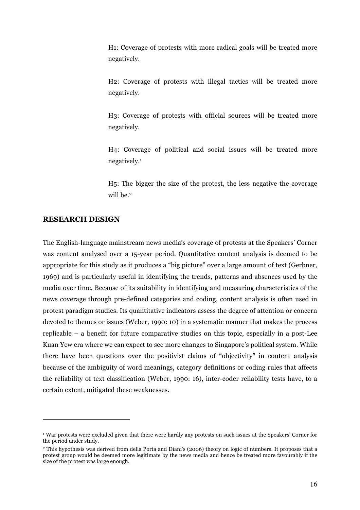H1: Coverage of protests with more radical goals will be treated more negatively.

H2: Coverage of protests with illegal tactics will be treated more negatively.

H3: Coverage of protests with official sources will be treated more negatively.

H4: Coverage of political and social issues will be treated more negatively.1

H5: The bigger the size of the protest, the less negative the coverage will be.<sup>2</sup>

## **RESEARCH DESIGN**

 $\overline{a}$ 

The English-language mainstream news media's coverage of protests at the Speakers' Corner was content analysed over a 15-year period. Quantitative content analysis is deemed to be appropriate for this study as it produces a "big picture" over a large amount of text (Gerbner, 1969) and is particularly useful in identifying the trends, patterns and absences used by the media over time. Because of its suitability in identifying and measuring characteristics of the news coverage through pre-defined categories and coding, content analysis is often used in protest paradigm studies. Its quantitative indicators assess the degree of attention or concern devoted to themes or issues (Weber, 1990: 10) in a systematic manner that makes the process replicable – a benefit for future comparative studies on this topic, especially in a post-Lee Kuan Yew era where we can expect to see more changes to Singapore's political system. While there have been questions over the positivist claims of "objectivity" in content analysis because of the ambiguity of word meanings, category definitions or coding rules that affects the reliability of text classification (Weber, 1990: 16), inter-coder reliability tests have, to a certain extent, mitigated these weaknesses.

<sup>1</sup> War protests were excluded given that there were hardly any protests on such issues at the Speakers' Corner for the period under study.

<sup>2</sup> This hypothesis was derived from della Porta and Diani's (2006) theory on logic of numbers. It proposes that a protest group would be deemed more legitimate by the news media and hence be treated more favourably if the size of the protest was large enough.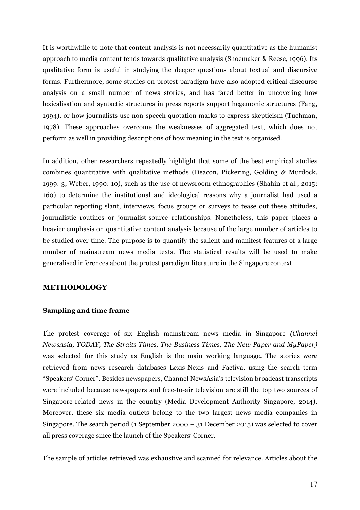It is worthwhile to note that content analysis is not necessarily quantitative as the humanist approach to media content tends towards qualitative analysis (Shoemaker & Reese, 1996). Its qualitative form is useful in studying the deeper questions about textual and discursive forms. Furthermore, some studies on protest paradigm have also adopted critical discourse analysis on a small number of news stories, and has fared better in uncovering how lexicalisation and syntactic structures in press reports support hegemonic structures (Fang, 1994), or how journalists use non-speech quotation marks to express skepticism (Tuchman, 1978). These approaches overcome the weaknesses of aggregated text, which does not perform as well in providing descriptions of how meaning in the text is organised.

In addition, other researchers repeatedly highlight that some of the best empirical studies combines quantitative with qualitative methods (Deacon, Pickering, Golding & Murdock, 1999: 3; Weber, 1990: 10), such as the use of newsroom ethnographies (Shahin et al., 2015: 160) to determine the institutional and ideological reasons why a journalist had used a particular reporting slant, interviews, focus groups or surveys to tease out these attitudes, journalistic routines or journalist-source relationships. Nonetheless, this paper places a heavier emphasis on quantitative content analysis because of the large number of articles to be studied over time. The purpose is to quantify the salient and manifest features of a large number of mainstream news media texts. The statistical results will be used to make generalised inferences about the protest paradigm literature in the Singapore context

## **METHODOLOGY**

#### **Sampling and time frame**

The protest coverage of six English mainstream news media in Singapore *(Channel NewsAsia, TODAY, The Straits Times, The Business Times, The New Paper and MyPaper)*  was selected for this study as English is the main working language. The stories were retrieved from news research databases Lexis-Nexis and Factiva, using the search term "Speakers' Corner". Besides newspapers, Channel NewsAsia's television broadcast transcripts were included because newspapers and free-to-air television are still the top two sources of Singapore-related news in the country (Media Development Authority Singapore, 2014). Moreover, these six media outlets belong to the two largest news media companies in Singapore. The search period (1 September 2000 – 31 December 2015) was selected to cover all press coverage since the launch of the Speakers' Corner.

The sample of articles retrieved was exhaustive and scanned for relevance. Articles about the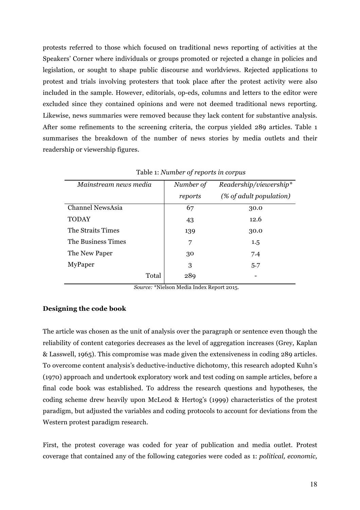protests referred to those which focused on traditional news reporting of activities at the Speakers' Corner where individuals or groups promoted or rejected a change in policies and legislation, or sought to shape public discourse and worldviews. Rejected applications to protest and trials involving protesters that took place after the protest activity were also included in the sample. However, editorials, op-eds, columns and letters to the editor were excluded since they contained opinions and were not deemed traditional news reporting. Likewise, news summaries were removed because they lack content for substantive analysis. After some refinements to the screening criteria, the corpus yielded 289 articles. Table 1 summarises the breakdown of the number of news stories by media outlets and their readership or viewership figures.

| Mainstream news media   | Number of | Readership/viewership*  |
|-------------------------|-----------|-------------------------|
|                         | reports   | (% of adult population) |
| <b>Channel NewsAsia</b> | 67        | 30.0                    |
| <b>TODAY</b>            | 43        | 12.6                    |
| The Straits Times       | 139       | 30.0                    |
| The Business Times      | 7         | 1.5                     |
| The New Paper           | 30        | 7.4                     |
| MyPaper                 | 3         | 5.7                     |
| Total                   | 289       |                         |
|                         |           |                         |

|  | Table 1: Number of reports in corpus |  |
|--|--------------------------------------|--|
|  |                                      |  |

*Source:* \*Nielson Media Index Report 2015.

## **Designing the code book**

The article was chosen as the unit of analysis over the paragraph or sentence even though the reliability of content categories decreases as the level of aggregation increases (Grey, Kaplan & Lasswell, 1965). This compromise was made given the extensiveness in coding 289 articles. To overcome content analysis's deductive-inductive dichotomy, this research adopted Kuhn's (1970) approach and undertook exploratory work and test coding on sample articles, before a final code book was established. To address the research questions and hypotheses, the coding scheme drew heavily upon McLeod & Hertog's (1999) characteristics of the protest paradigm, but adjusted the variables and coding protocols to account for deviations from the Western protest paradigm research.

First, the protest coverage was coded for year of publication and media outlet. Protest coverage that contained any of the following categories were coded as 1: *political, economic,*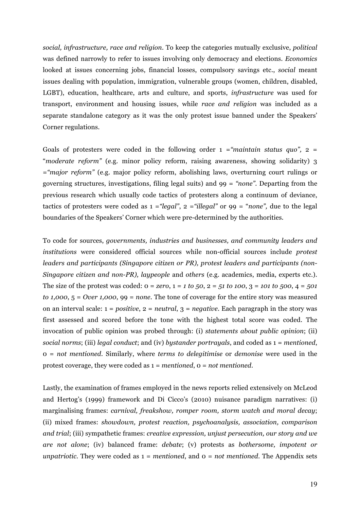*social, infrastructure, race and religion*. To keep the categories mutually exclusive, *political* was defined narrowly to refer to issues involving only democracy and elections. *Economics* looked at issues concerning jobs, financial losses, compulsory savings etc., *social* meant issues dealing with population, immigration, vulnerable groups (women, children, disabled, LGBT), education, healthcare, arts and culture, and sports, *infrastructure* was used for transport, environment and housing issues, while *race and religion* was included as a separate standalone category as it was the only protest issue banned under the Speakers' Corner regulations.

Goals of protesters were coded in the following order  $1 = \text{``maintain status quo''}, 2 =$ "*moderate reform"* (e.g. minor policy reform, raising awareness, showing solidarity) 3 =*"major reform"* (e.g. major policy reform, abolishing laws, overturning court rulings or governing structures, investigations, filing legal suits) and 99 = *"none"*. Departing from the previous research which usually code tactics of protesters along a continuum of deviance, tactics of protesters were coded as 1 =*"legal"*, 2 =*"illegal"* or 99 = "*none",* due to the legal boundaries of the Speakers' Corner which were pre-determined by the authorities.

To code for sources, *governments, industries and businesses, and community leaders and institutions* were considered official sources while non-official sources include *protest leaders and participants (Singapore citizen or PR), protest leaders and participants (non-Singapore citizen and non-PR), laypeople* and *others* (e.g. academics, media, experts etc.). The size of the protest was coded: 0 = *zero*, 1 = *1 to 50*, 2 = *51 to 100*, 3 = *101 to 500*, 4 = *501 to 1,000*, 5 = *Over 1,000*, 99 = *none*. The tone of coverage for the entire story was measured on an interval scale: 1 = *positive*, 2 = *neutral*, 3 = *negative*. Each paragraph in the story was first assessed and scored before the tone with the highest total score was coded. The invocation of public opinion was probed through: (i) *statements about public opinion*; (ii) *social norms*; (iii) *legal conduct*; and (iv) *bystander portrayals*, and coded as 1 = *mentioned*, 0 = *not mentioned*. Similarly, where *terms to delegitimise* or *demonise* were used in the protest coverage, they were coded as 1 = *mentioned*, 0 = *not mentioned*.

Lastly, the examination of frames employed in the news reports relied extensively on McLeod and Hertog's (1999) framework and Di Cicco's (2010) nuisance paradigm narratives: (i) marginalising frames: *carnival, freakshow, romper room, storm watch and moral decay*; (ii) mixed frames: *showdown, protest reaction, psychoanalysis, association, comparison and trial*; (iii) sympathetic frames: *creative expression, unjust persecution, our story and we are not alone*; (iv) balanced frame: *debate*; (v) protests as *bothersome, impotent or unpatriotic*. They were coded as 1 = *mentioned*, and 0 = *not mentioned*. The Appendix sets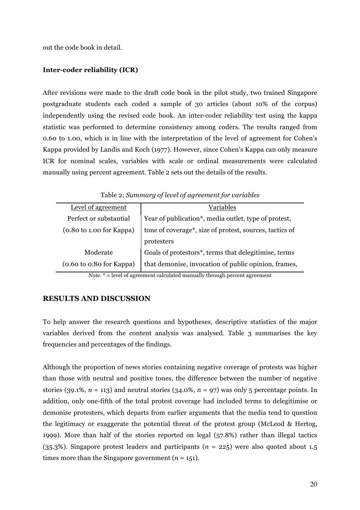out the code book in detail.

## **Inter-coder reliability (ICR)**

After revisions were made to the draft code book in the pilot study, two trained Singapore postgraduate students each coded a sample of 30 articles (about 10% of the corpus) independently using the revised code book. An inter-coder reliability test using the kappa statistic was performed to determine consistency among coders. The results ranged from 0.60 to 1.00, which is in line with the interpretation of the level of agreement for Cohen's Kappa provided by Landis and Koch (1977). However, since Cohen's Kappa can only measure ICR for nominal scales, variables with scale or ordinal measurements were calculated manually using percent agreement. Table 2 sets out the details of the results.

| Level of agreement                                  | Variables                                               |  |  |
|-----------------------------------------------------|---------------------------------------------------------|--|--|
| Perfect or substantial                              | Year of publication*, media outlet, type of protest,    |  |  |
| $(0.80 \text{ to } 1.00 \text{ for } \text{Kappa})$ | tone of coverage*, size of protest, sources, tactics of |  |  |
|                                                     | protesters                                              |  |  |
| Moderate                                            | Goals of protestors*, terms that delegitimise, terms    |  |  |
| $(0.60 \text{ to } 0.80 \text{ for } \text{Kappa})$ | that demonise, invocation of public opinion, frames,    |  |  |

Table 2: *Summary of level of agreement for variables*

*Note.* \* = level of agreement calculated manually through percent agreement

## **RESULTS AND DISCUSSION**

To help answer the research questions and hypotheses, descriptive statistics of the major variables derived from the content analysis was analysed. Table 3 summarises the key frequencies and percentages of the findings.

Although the proportion of news stories containing negative coverage of protests was higher than those with neutral and positive tones, the difference between the number of negative stories (39.1%,  $n = 113$ ) and neutral stories (34.0%,  $n = 97$ ) was only 5 percentage points. In addition, only one-fifth of the total protest coverage had included terms to delegitimise or demonise protesters, which departs from earlier arguments that the media tend to question the legitimacy or exaggerate the potential threat of the protest group (McLeod & Hertog, 1999). More than half of the stories reported on legal (57.8%) rather than illegal tactics (35.3%). Singapore protest leaders and participants (*n* = 225) were also quoted about 1.5 times more than the Singapore government  $(n = 151)$ .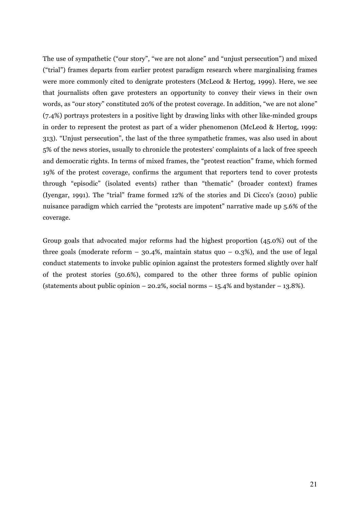The use of sympathetic ("our story", "we are not alone" and "unjust persecution") and mixed ("trial") frames departs from earlier protest paradigm research where marginalising frames were more commonly cited to denigrate protesters (McLeod & Hertog, 1999). Here, we see that journalists often gave protesters an opportunity to convey their views in their own words, as "our story" constituted 20% of the protest coverage. In addition, "we are not alone" (7.4%) portrays protesters in a positive light by drawing links with other like-minded groups in order to represent the protest as part of a wider phenomenon (McLeod & Hertog, 1999: 313). "Unjust persecution", the last of the three sympathetic frames, was also used in about 5% of the news stories, usually to chronicle the protesters' complaints of a lack of free speech and democratic rights. In terms of mixed frames, the "protest reaction" frame, which formed 19% of the protest coverage, confirms the argument that reporters tend to cover protests through "episodic" (isolated events) rather than "thematic" (broader context) frames (Iyengar, 1991). The "trial" frame formed 12% of the stories and Di Cicco's (2010) public nuisance paradigm which carried the "protests are impotent" narrative made up 5.6% of the coverage.

Group goals that advocated major reforms had the highest proportion (45.0%) out of the three goals (moderate reform  $-$  30.4%, maintain status quo  $-$  0.3%), and the use of legal conduct statements to invoke public opinion against the protesters formed slightly over half of the protest stories (50.6%), compared to the other three forms of public opinion (statements about public opinion  $-20.2\%$ , social norms  $-15.4\%$  and bystander  $-13.8\%$ ).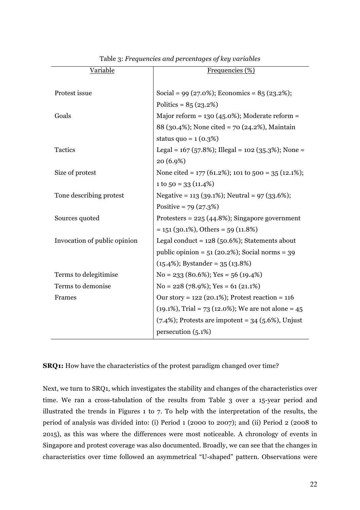| Variable                     | Frequencies (%)                                        |  |
|------------------------------|--------------------------------------------------------|--|
|                              |                                                        |  |
| Protest issue                | Social = 99 (27.0%); Economics = $85$ (23.2%);         |  |
|                              | Politics = $85(23.2%)$                                 |  |
| Goals                        | Major reform = $130 (45.0\%)$ ; Moderate reform =      |  |
|                              | 88 (30.4%); None cited = 70 (24.2%), Maintain          |  |
|                              | status quo = $1(0.3%)$                                 |  |
| Tactics                      | Legal = $167$ (57.8%); Illegal = $102$ (35.3%); None = |  |
|                              | 20 (6.9%)                                              |  |
| Size of protest              | None cited = $177(61.2\%)$ ; 101 to 500 = 35 (12.1%);  |  |
|                              | $1 to 50 = 33(11.4%)$                                  |  |
| Tone describing protest      | Negative = 113 (39.1%); Neutral = $97$ (33.6%);        |  |
|                              | Positive = $79(27.3%)$                                 |  |
| Sources quoted               | Protesters = $225(44.8\%)$ ; Singapore government      |  |
|                              | $= 151 (30.1\%)$ , Others $= 59 (11.8\%)$              |  |
| Invocation of public opinion | Legal conduct = $128$ (50.6%); Statements about        |  |
|                              | public opinion = $51$ (20.2%); Social norms = 39       |  |
|                              | $(15.4\%)$ ; Bystander = 35 $(13.8\%)$                 |  |
| Terms to delegitimise        | $No = 233 (80.6\%); Yes = 56 (19.4\%)$                 |  |
| Terms to demonise            | $No = 228 (78.9\%); Yes = 61 (21.1\%)$                 |  |
| Frames                       | Our story = $122$ (20.1%); Protest reaction = $116$    |  |
|                              | $(19.1\%)$ , Trial = 73 (12.0%); We are not alone = 45 |  |
|                              | $(7.4\%)$ ; Protests are impotent = 34 (5.6%), Unjust  |  |
|                              | persecution (5.1%)                                     |  |
|                              |                                                        |  |

Table 3: *Frequencies and percentages of key variables*

**SRQ1:** How have the characteristics of the protest paradigm changed over time?

Next, we turn to SRQ1, which investigates the stability and changes of the characteristics over time. We ran a cross-tabulation of the results from Table 3 over a 15-year period and illustrated the trends in Figures 1 to 7. To help with the interpretation of the results, the period of analysis was divided into: (i) Period 1 (2000 to 2007); and (ii) Period 2 (2008 to 2015), as this was where the differences were most noticeable. A chronology of events in Singapore and protest coverage was also documented. Broadly, we can see that the changes in characteristics over time followed an asymmetrical "U-shaped" pattern. Observations were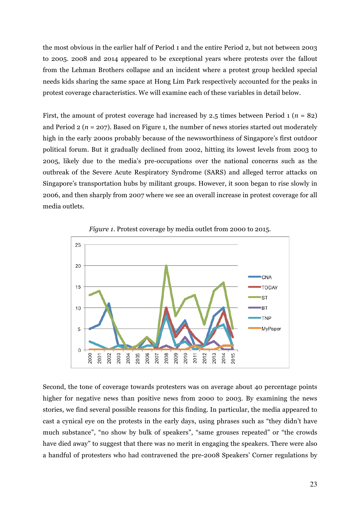the most obvious in the earlier half of Period 1 and the entire Period 2, but not between 2003 to 2005. 2008 and 2014 appeared to be exceptional years where protests over the fallout from the Lehman Brothers collapse and an incident where a protest group heckled special needs kids sharing the same space at Hong Lim Park respectively accounted for the peaks in protest coverage characteristics. We will examine each of these variables in detail below.

First, the amount of protest coverage had increased by 2.5 times between Period 1 (*n* = 82) and Period 2 (*n* = 207). Based on Figure 1, the number of news stories started out moderately high in the early 2000s probably because of the newsworthiness of Singapore's first outdoor political forum. But it gradually declined from 2002, hitting its lowest levels from 2003 to 2005, likely due to the media's pre-occupations over the national concerns such as the outbreak of the Severe Acute Respiratory Syndrome (SARS) and alleged terror attacks on Singapore's transportation hubs by militant groups. However, it soon began to rise slowly in 2006, and then sharply from 2007 where we see an overall increase in protest coverage for all media outlets.





Second, the tone of coverage towards protesters was on average about 40 percentage points higher for negative news than positive news from 2000 to 2003. By examining the news stories, we find several possible reasons for this finding. In particular, the media appeared to cast a cynical eye on the protests in the early days, using phrases such as "they didn't have much substance", "no show by bulk of speakers", "same grouses repeated" or "the crowds have died away" to suggest that there was no merit in engaging the speakers. There were also a handful of protesters who had contravened the pre-2008 Speakers' Corner regulations by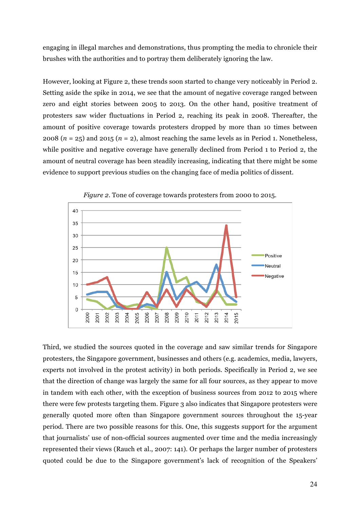engaging in illegal marches and demonstrations, thus prompting the media to chronicle their brushes with the authorities and to portray them deliberately ignoring the law.

However, looking at Figure 2, these trends soon started to change very noticeably in Period 2. Setting aside the spike in 2014, we see that the amount of negative coverage ranged between zero and eight stories between 2005 to 2013. On the other hand, positive treatment of protesters saw wider fluctuations in Period 2, reaching its peak in 2008. Thereafter, the amount of positive coverage towards protesters dropped by more than 10 times between 2008 ( $n = 25$ ) and 2015 ( $n = 2$ ), almost reaching the same levels as in Period 1. Nonetheless, while positive and negative coverage have generally declined from Period 1 to Period 2, the amount of neutral coverage has been steadily increasing, indicating that there might be some evidence to support previous studies on the changing face of media politics of dissent.



*Figure 2*. Tone of coverage towards protesters from 2000 to 2015.

Third, we studied the sources quoted in the coverage and saw similar trends for Singapore protesters, the Singapore government, businesses and others (e.g. academics, media, lawyers, experts not involved in the protest activity) in both periods. Specifically in Period 2, we see that the direction of change was largely the same for all four sources, as they appear to move in tandem with each other, with the exception of business sources from 2012 to 2015 where there were few protests targeting them. Figure 3 also indicates that Singapore protesters were generally quoted more often than Singapore government sources throughout the 15-year period. There are two possible reasons for this. One, this suggests support for the argument that journalists' use of non-official sources augmented over time and the media increasingly represented their views (Rauch et al., 2007: 141). Or perhaps the larger number of protesters quoted could be due to the Singapore government's lack of recognition of the Speakers'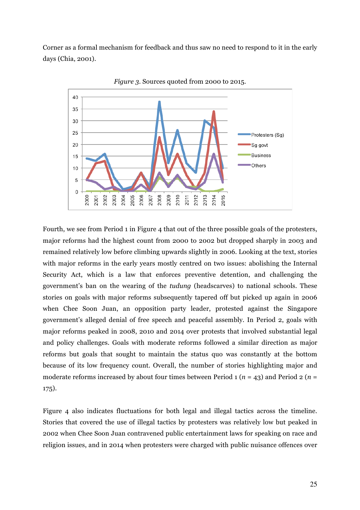Corner as a formal mechanism for feedback and thus saw no need to respond to it in the early days (Chia, 2001).



*Figure 3*. Sources quoted from 2000 to 2015.

Fourth, we see from Period 1 in Figure 4 that out of the three possible goals of the protesters, major reforms had the highest count from 2000 to 2002 but dropped sharply in 2003 and remained relatively low before climbing upwards slightly in 2006. Looking at the text, stories with major reforms in the early years mostly centred on two issues: abolishing the Internal Security Act, which is a law that enforces preventive detention, and challenging the government's ban on the wearing of the *tudung* (headscarves) to national schools. These stories on goals with major reforms subsequently tapered off but picked up again in 2006 when Chee Soon Juan, an opposition party leader, protested against the Singapore government's alleged denial of free speech and peaceful assembly. In Period 2, goals with major reforms peaked in 2008, 2010 and 2014 over protests that involved substantial legal and policy challenges. Goals with moderate reforms followed a similar direction as major reforms but goals that sought to maintain the status quo was constantly at the bottom because of its low frequency count. Overall, the number of stories highlighting major and moderate reforms increased by about four times between Period 1 (*n* = 43) and Period 2 (*n* = 175).

Figure 4 also indicates fluctuations for both legal and illegal tactics across the timeline. Stories that covered the use of illegal tactics by protesters was relatively low but peaked in 2002 when Chee Soon Juan contravened public entertainment laws for speaking on race and religion issues, and in 2014 when protesters were charged with public nuisance offences over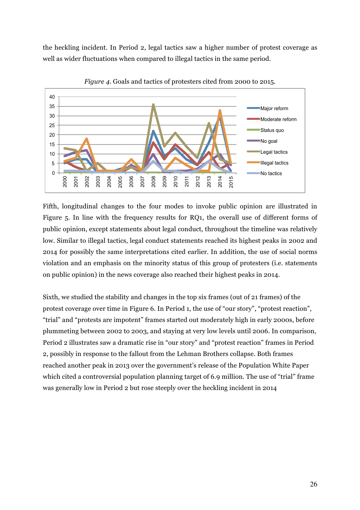the heckling incident. In Period 2, legal tactics saw a higher number of protest coverage as well as wider fluctuations when compared to illegal tactics in the same period.



*Figure 4*. Goals and tactics of protesters cited from 2000 to 2015.

Fifth, longitudinal changes to the four modes to invoke public opinion are illustrated in Figure 5. In line with the frequency results for RQ1, the overall use of different forms of public opinion, except statements about legal conduct, throughout the timeline was relatively low. Similar to illegal tactics, legal conduct statements reached its highest peaks in 2002 and 2014 for possibly the same interpretations cited earlier. In addition, the use of social norms violation and an emphasis on the minority status of this group of protesters (i.e. statements on public opinion) in the news coverage also reached their highest peaks in 2014.

Sixth, we studied the stability and changes in the top six frames (out of 21 frames) of the protest coverage over time in Figure 6. In Period 1, the use of "our story", "protest reaction", "trial" and "protests are impotent" frames started out moderately high in early 2000s, before plummeting between 2002 to 2003, and staying at very low levels until 2006. In comparison, Period 2 illustrates saw a dramatic rise in "our story" and "protest reaction" frames in Period 2, possibly in response to the fallout from the Lehman Brothers collapse. Both frames reached another peak in 2013 over the government's release of the Population White Paper which cited a controversial population planning target of 6.9 million. The use of "trial" frame was generally low in Period 2 but rose steeply over the heckling incident in 2014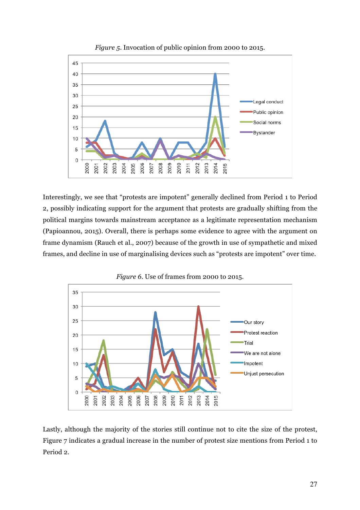

*Figure 5*. Invocation of public opinion from 2000 to 2015.

Interestingly, we see that "protests are impotent" generally declined from Period 1 to Period 2, possibly indicating support for the argument that protests are gradually shifting from the political margins towards mainstream acceptance as a legitimate representation mechanism (Papioannou, 2015). Overall, there is perhaps some evidence to agree with the argument on frame dynamism (Rauch et al., 2007) because of the growth in use of sympathetic and mixed frames, and decline in use of marginalising devices such as "protests are impotent" over time.



*Figure 6*. Use of frames from 2000 to 2015.

Lastly, although the majority of the stories still continue not to cite the size of the protest, Figure 7 indicates a gradual increase in the number of protest size mentions from Period 1 to Period 2.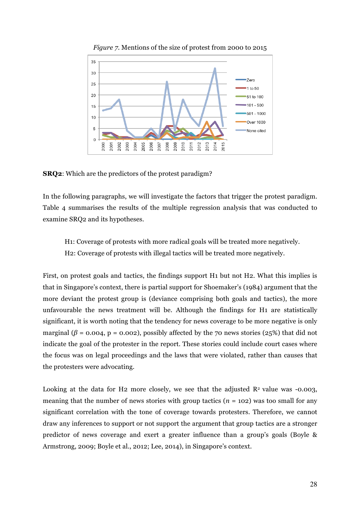

*Figure 7*. Mentions of the size of protest from 2000 to 2015

**SRQ2**: Which are the predictors of the protest paradigm?

In the following paragraphs, we will investigate the factors that trigger the protest paradigm. Table 4 summarises the results of the multiple regression analysis that was conducted to examine SRQ2 and its hypotheses.

H1: Coverage of protests with more radical goals will be treated more negatively. H2: Coverage of protests with illegal tactics will be treated more negatively.

First, on protest goals and tactics, the findings support H1 but not H2. What this implies is that in Singapore's context, there is partial support for Shoemaker's (1984) argument that the more deviant the protest group is (deviance comprising both goals and tactics), the more unfavourable the news treatment will be. Although the findings for H1 are statistically significant, it is worth noting that the tendency for news coverage to be more negative is only marginal ( $\beta$  = 0.004, p = 0.002), possibly affected by the 70 news stories (25%) that did not indicate the goal of the protester in the report. These stories could include court cases where the focus was on legal proceedings and the laws that were violated, rather than causes that the protesters were advocating.

Looking at the data for H2 more closely, we see that the adjusted  $\mathbb{R}^2$  value was -0.003, meaning that the number of news stories with group tactics  $(n = 102)$  was too small for any significant correlation with the tone of coverage towards protesters. Therefore, we cannot draw any inferences to support or not support the argument that group tactics are a stronger predictor of news coverage and exert a greater influence than a group's goals (Boyle & Armstrong, 2009; Boyle et al., 2012; Lee, 2014), in Singapore's context.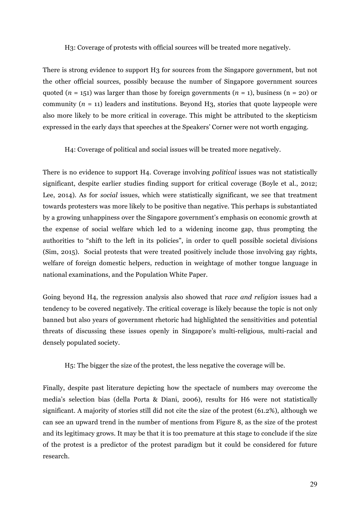H3: Coverage of protests with official sources will be treated more negatively.

There is strong evidence to support H3 for sources from the Singapore government, but not the other official sources, possibly because the number of Singapore government sources quoted  $(n = 151)$  was larger than those by foreign governments  $(n = 1)$ , business  $(n = 20)$  or community  $(n = 11)$  leaders and institutions. Beyond H<sub>3</sub>, stories that quote laypeople were also more likely to be more critical in coverage. This might be attributed to the skepticism expressed in the early days that speeches at the Speakers' Corner were not worth engaging.

H4: Coverage of political and social issues will be treated more negatively.

There is no evidence to support H4. Coverage involving *political* issues was not statistically significant, despite earlier studies finding support for critical coverage (Boyle et al., 2012; Lee, 2014). As for *social* issues, which were statistically significant, we see that treatment towards protesters was more likely to be positive than negative. This perhaps is substantiated by a growing unhappiness over the Singapore government's emphasis on economic growth at the expense of social welfare which led to a widening income gap, thus prompting the authorities to "shift to the left in its policies", in order to quell possible societal divisions (Sim, 2015). Social protests that were treated positively include those involving gay rights, welfare of foreign domestic helpers, reduction in weightage of mother tongue language in national examinations, and the Population White Paper.

Going beyond H4, the regression analysis also showed that *race and religion* issues had a tendency to be covered negatively. The critical coverage is likely because the topic is not only banned but also years of government rhetoric had highlighted the sensitivities and potential threats of discussing these issues openly in Singapore's multi-religious, multi-racial and densely populated society.

H5: The bigger the size of the protest, the less negative the coverage will be.

Finally, despite past literature depicting how the spectacle of numbers may overcome the media's selection bias (della Porta & Diani, 2006), results for H6 were not statistically significant. A majority of stories still did not cite the size of the protest (61.2%), although we can see an upward trend in the number of mentions from Figure 8, as the size of the protest and its legitimacy grows. It may be that it is too premature at this stage to conclude if the size of the protest is a predictor of the protest paradigm but it could be considered for future research.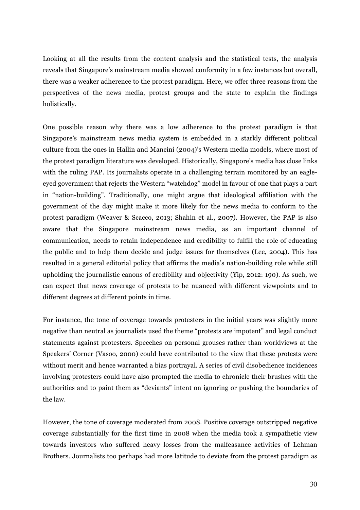Looking at all the results from the content analysis and the statistical tests, the analysis reveals that Singapore's mainstream media showed conformity in a few instances but overall, there was a weaker adherence to the protest paradigm. Here, we offer three reasons from the perspectives of the news media, protest groups and the state to explain the findings holistically.

One possible reason why there was a low adherence to the protest paradigm is that Singapore's mainstream news media system is embedded in a starkly different political culture from the ones in Hallin and Mancini (2004)'s Western media models, where most of the protest paradigm literature was developed. Historically, Singapore's media has close links with the ruling PAP. Its journalists operate in a challenging terrain monitored by an eagleeyed government that rejects the Western "watchdog" model in favour of one that plays a part in "nation-building". Traditionally, one might argue that ideological affiliation with the government of the day might make it more likely for the news media to conform to the protest paradigm (Weaver & Scacco, 2013; Shahin et al., 2007). However, the PAP is also aware that the Singapore mainstream news media, as an important channel of communication, needs to retain independence and credibility to fulfill the role of educating the public and to help them decide and judge issues for themselves (Lee, 2004). This has resulted in a general editorial policy that affirms the media's nation-building role while still upholding the journalistic canons of credibility and objectivity (Yip, 2012: 190). As such, we can expect that news coverage of protests to be nuanced with different viewpoints and to different degrees at different points in time.

For instance, the tone of coverage towards protesters in the initial years was slightly more negative than neutral as journalists used the theme "protests are impotent" and legal conduct statements against protesters. Speeches on personal grouses rather than worldviews at the Speakers' Corner (Vasoo, 2000) could have contributed to the view that these protests were without merit and hence warranted a bias portrayal. A series of civil disobedience incidences involving protesters could have also prompted the media to chronicle their brushes with the authorities and to paint them as "deviants" intent on ignoring or pushing the boundaries of the law.

However, the tone of coverage moderated from 2008. Positive coverage outstripped negative coverage substantially for the first time in 2008 when the media took a sympathetic view towards investors who suffered heavy losses from the malfeasance activities of Lehman Brothers. Journalists too perhaps had more latitude to deviate from the protest paradigm as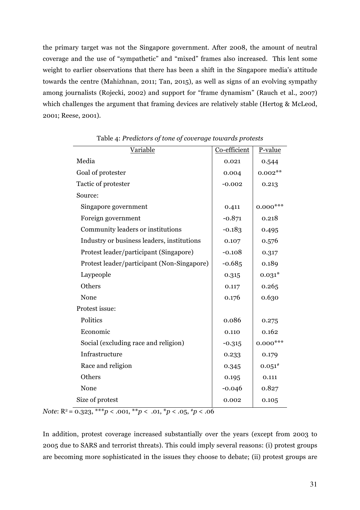the primary target was not the Singapore government. After 2008, the amount of neutral coverage and the use of "sympathetic" and "mixed" frames also increased. This lent some weight to earlier observations that there has been a shift in the Singapore media's attitude towards the centre (Mahizhnan, 2011; Tan, 2015), as well as signs of an evolving sympathy among journalists (Rojecki, 2002) and support for "frame dynamism" (Rauch et al., 2007) which challenges the argument that framing devices are relatively stable (Hertog & McLeod, 2001; Reese, 2001).

| Variable                                   | Co-efficient | P-value     |
|--------------------------------------------|--------------|-------------|
| Media                                      | 0.021        | 0.544       |
| Goal of protester                          | 0.004        | $0.002**$   |
| Tactic of protester                        | $-0.002$     | 0.213       |
| Source:                                    |              |             |
| Singapore government                       | 0.411        | $0.000$ *** |
| Foreign government                         | $-0.871$     | 0.218       |
| Community leaders or institutions          | $-0.183$     | 0.495       |
| Industry or business leaders, institutions | 0.107        | 0.576       |
| Protest leader/participant (Singapore)     | $-0.108$     | 0.317       |
| Protest leader/participant (Non-Singapore) | $-0.685$     | 0.189       |
| Laypeople                                  | 0.315        | $0.031*$    |
| Others                                     | 0.117        | 0.265       |
| None                                       | 0.176        | 0.630       |
| Protest issue:                             |              |             |
| Politics                                   | 0.086        | 0.275       |
| Economic                                   | 0.110        | 0.162       |
| Social (excluding race and religion)       | $-0.315$     | $0.000$ *** |
| Infrastructure                             | 0.233        | 0.179       |
| Race and religion                          | 0.345        | $0.051^{*}$ |
| Others                                     | 0.195        | 0.111       |
| None                                       | $-0.046$     | 0.827       |
| Size of protest                            | 0.002        | 0.105       |

Table 4: *Predictors of tone of coverage towards protests*

*Note*: R2 = 0.323, \*\*\**p* < .001, \*\**p* < .01, \**p* < .05, #*p* < .06

In addition, protest coverage increased substantially over the years (except from 2003 to 2005 due to SARS and terrorist threats). This could imply several reasons: (i) protest groups are becoming more sophisticated in the issues they choose to debate; (ii) protest groups are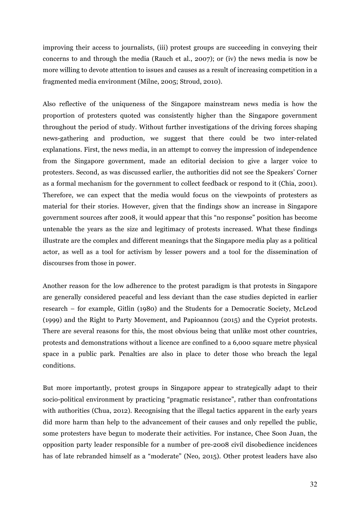improving their access to journalists, (iii) protest groups are succeeding in conveying their concerns to and through the media (Rauch et al., 2007); or (iv) the news media is now be more willing to devote attention to issues and causes as a result of increasing competition in a fragmented media environment (Milne, 2005; Stroud, 2010).

Also reflective of the uniqueness of the Singapore mainstream news media is how the proportion of protesters quoted was consistently higher than the Singapore government throughout the period of study. Without further investigations of the driving forces shaping news-gathering and production, we suggest that there could be two inter-related explanations. First, the news media, in an attempt to convey the impression of independence from the Singapore government, made an editorial decision to give a larger voice to protesters. Second, as was discussed earlier, the authorities did not see the Speakers' Corner as a formal mechanism for the government to collect feedback or respond to it (Chia, 2001). Therefore, we can expect that the media would focus on the viewpoints of protesters as material for their stories. However, given that the findings show an increase in Singapore government sources after 2008, it would appear that this "no response" position has become untenable the years as the size and legitimacy of protests increased. What these findings illustrate are the complex and different meanings that the Singapore media play as a political actor, as well as a tool for activism by lesser powers and a tool for the dissemination of discourses from those in power.

Another reason for the low adherence to the protest paradigm is that protests in Singapore are generally considered peaceful and less deviant than the case studies depicted in earlier research – for example, Gitlin (1980) and the Students for a Democratic Society, McLeod (1999) and the Right to Party Movement, and Papioannou (2015) and the Cypriot protests. There are several reasons for this, the most obvious being that unlike most other countries, protests and demonstrations without a licence are confined to a 6,000 square metre physical space in a public park. Penalties are also in place to deter those who breach the legal conditions.

But more importantly, protest groups in Singapore appear to strategically adapt to their socio-political environment by practicing "pragmatic resistance", rather than confrontations with authorities (Chua, 2012). Recognising that the illegal tactics apparent in the early years did more harm than help to the advancement of their causes and only repelled the public, some protesters have begun to moderate their activities. For instance, Chee Soon Juan, the opposition party leader responsible for a number of pre-2008 civil disobedience incidences has of late rebranded himself as a "moderate" (Neo, 2015). Other protest leaders have also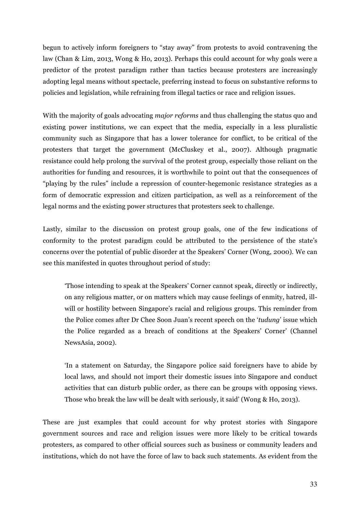begun to actively inform foreigners to "stay away" from protests to avoid contravening the law (Chan & Lim, 2013, Wong & Ho, 2013). Perhaps this could account for why goals were a predictor of the protest paradigm rather than tactics because protesters are increasingly adopting legal means without spectacle, preferring instead to focus on substantive reforms to policies and legislation, while refraining from illegal tactics or race and religion issues.

With the majority of goals advocating *major reforms* and thus challenging the status quo and existing power institutions, we can expect that the media, especially in a less pluralistic community such as Singapore that has a lower tolerance for conflict, to be critical of the protesters that target the government (McCluskey et al., 2007). Although pragmatic resistance could help prolong the survival of the protest group, especially those reliant on the authorities for funding and resources, it is worthwhile to point out that the consequences of "playing by the rules" include a repression of counter-hegemonic resistance strategies as a form of democratic expression and citizen participation, as well as a reinforcement of the legal norms and the existing power structures that protesters seek to challenge.

Lastly, similar to the discussion on protest group goals, one of the few indications of conformity to the protest paradigm could be attributed to the persistence of the state's concerns over the potential of public disorder at the Speakers' Corner (Wong, 2000). We can see this manifested in quotes throughout period of study:

'Those intending to speak at the Speakers' Corner cannot speak, directly or indirectly, on any religious matter, or on matters which may cause feelings of enmity, hatred, illwill or hostility between Singapore's racial and religious groups. This reminder from the Police comes after Dr Chee Soon Juan's recent speech on the '*tudung*' issue which the Police regarded as a breach of conditions at the Speakers' Corner' (Channel NewsAsia, 2002).

'In a statement on Saturday, the Singapore police said foreigners have to abide by local laws, and should not import their domestic issues into Singapore and conduct activities that can disturb public order, as there can be groups with opposing views. Those who break the law will be dealt with seriously, it said' (Wong & Ho, 2013).

These are just examples that could account for why protest stories with Singapore government sources and race and religion issues were more likely to be critical towards protesters, as compared to other official sources such as business or community leaders and institutions, which do not have the force of law to back such statements. As evident from the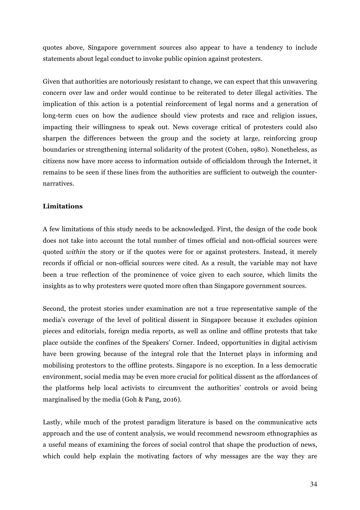quotes above, Singapore government sources also appear to have a tendency to include statements about legal conduct to invoke public opinion against protesters.

Given that authorities are notoriously resistant to change, we can expect that this unwavering concern over law and order would continue to be reiterated to deter illegal activities. The implication of this action is a potential reinforcement of legal norms and a generation of long-term cues on how the audience should view protests and race and religion issues, impacting their willingness to speak out. News coverage critical of protesters could also sharpen the differences between the group and the society at large, reinforcing group boundaries or strengthening internal solidarity of the protest (Cohen, 1980). Nonetheless, as citizens now have more access to information outside of officialdom through the Internet, it remains to be seen if these lines from the authorities are sufficient to outweigh the counternarratives.

## **Limitations**

A few limitations of this study needs to be acknowledged. First, the design of the code book does not take into account the total number of times official and non-official sources were quoted *within* the story or if the quotes were for or against protesters. Instead, it merely records if official or non-official sources were cited. As a result, the variable may not have been a true reflection of the prominence of voice given to each source, which limits the insights as to why protesters were quoted more often than Singapore government sources.

Second, the protest stories under examination are not a true representative sample of the media's coverage of the level of political dissent in Singapore because it excludes opinion pieces and editorials, foreign media reports, as well as online and offline protests that take place outside the confines of the Speakers' Corner. Indeed, opportunities in digital activism have been growing because of the integral role that the Internet plays in informing and mobilising protestors to the offline protests. Singapore is no exception. In a less democratic environment, social media may be even more crucial for political dissent as the affordances of the platforms help local activists to circumvent the authorities' controls or avoid being marginalised by the media (Goh & Pang, 2016).

Lastly, while much of the protest paradigm literature is based on the communicative acts approach and the use of content analysis, we would recommend newsroom ethnographies as a useful means of examining the forces of social control that shape the production of news, which could help explain the motivating factors of why messages are the way they are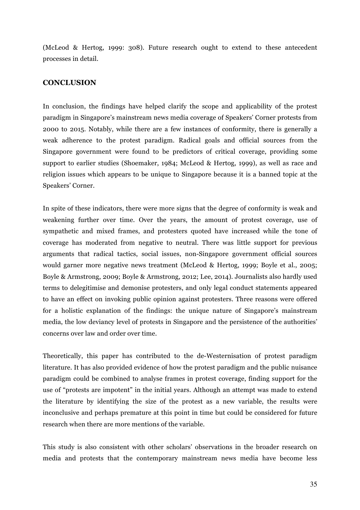(McLeod & Hertog, 1999: 308). Future research ought to extend to these antecedent processes in detail.

## **CONCLUSION**

In conclusion, the findings have helped clarify the scope and applicability of the protest paradigm in Singapore's mainstream news media coverage of Speakers' Corner protests from 2000 to 2015. Notably, while there are a few instances of conformity, there is generally a weak adherence to the protest paradigm. Radical goals and official sources from the Singapore government were found to be predictors of critical coverage, providing some support to earlier studies (Shoemaker, 1984; McLeod & Hertog, 1999), as well as race and religion issues which appears to be unique to Singapore because it is a banned topic at the Speakers' Corner.

In spite of these indicators, there were more signs that the degree of conformity is weak and weakening further over time. Over the years, the amount of protest coverage, use of sympathetic and mixed frames, and protesters quoted have increased while the tone of coverage has moderated from negative to neutral. There was little support for previous arguments that radical tactics, social issues, non-Singapore government official sources would garner more negative news treatment (McLeod & Hertog, 1999; Boyle et al., 2005; Boyle & Armstrong, 2009; Boyle & Armstrong, 2012; Lee, 2014). Journalists also hardly used terms to delegitimise and demonise protesters, and only legal conduct statements appeared to have an effect on invoking public opinion against protesters. Three reasons were offered for a holistic explanation of the findings: the unique nature of Singapore's mainstream media, the low deviancy level of protests in Singapore and the persistence of the authorities' concerns over law and order over time.

Theoretically, this paper has contributed to the de-Westernisation of protest paradigm literature. It has also provided evidence of how the protest paradigm and the public nuisance paradigm could be combined to analyse frames in protest coverage, finding support for the use of "protests are impotent" in the initial years. Although an attempt was made to extend the literature by identifying the size of the protest as a new variable, the results were inconclusive and perhaps premature at this point in time but could be considered for future research when there are more mentions of the variable.

This study is also consistent with other scholars' observations in the broader research on media and protests that the contemporary mainstream news media have become less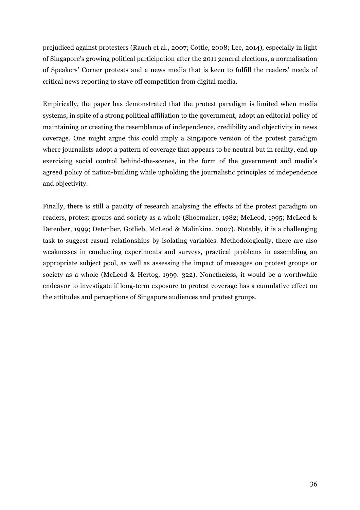prejudiced against protesters (Rauch et al., 2007; Cottle, 2008; Lee, 2014), especially in light of Singapore's growing political participation after the 2011 general elections, a normalisation of Speakers' Corner protests and a news media that is keen to fulfill the readers' needs of critical news reporting to stave off competition from digital media.

Empirically, the paper has demonstrated that the protest paradigm is limited when media systems, in spite of a strong political affiliation to the government, adopt an editorial policy of maintaining or creating the resemblance of independence, credibility and objectivity in news coverage. One might argue this could imply a Singapore version of the protest paradigm where journalists adopt a pattern of coverage that appears to be neutral but in reality, end up exercising social control behind-the-scenes, in the form of the government and media's agreed policy of nation-building while upholding the journalistic principles of independence and objectivity.

Finally, there is still a paucity of research analysing the effects of the protest paradigm on readers, protest groups and society as a whole (Shoemaker, 1982; McLeod, 1995; McLeod & Detenber, 1999; Detenber, Gotlieb, McLeod & Malinkina, 2007). Notably, it is a challenging task to suggest casual relationships by isolating variables. Methodologically, there are also weaknesses in conducting experiments and surveys, practical problems in assembling an appropriate subject pool, as well as assessing the impact of messages on protest groups or society as a whole (McLeod & Hertog, 1999: 322). Nonetheless, it would be a worthwhile endeavor to investigate if long-term exposure to protest coverage has a cumulative effect on the attitudes and perceptions of Singapore audiences and protest groups.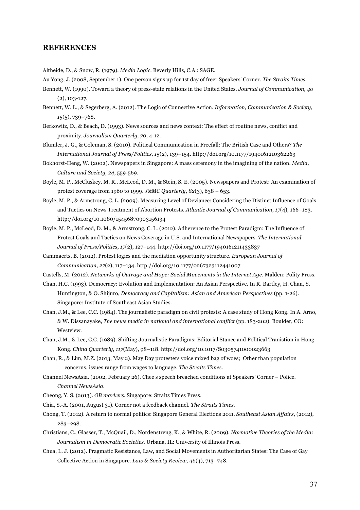### **REFERENCES**

Altheide, D., & Snow, R. (1979). *Media Logic.* Beverly Hills, C.A.: SAGE.

- Au Yong, J. (2008, September 1). One person signs up for 1st day of freer Speakers' Corner. *The Straits Times.*
- Bennett, W. (1990). Toward a theory of press-state relations in the United States. *Journal of Communication, 40* (2), 103-127.
- Bennett, W. L., & Segerberg, A. (2012). The Logic of Connective Action. *Information, Communication & Society*, *15*(5), 739–768.
- Berkowitz, D., & Beach, D. (1993). News sources and news context: The effect of routine news, conflict and proximity. *Journalism Quarterly, 70*, 4-12.
- Blumler, J. G., & Coleman, S. (2010). Political Communication in Freefall: The British Case and Others? *The International Journal of Press/Politics*, *15*(2), 139–154. http://doi.org/10.1177/1940161210362263
- Bokhorst-Heng, W. (2002). Newspapers in Singapore: A mass ceremony in the imagining of the nation. *Media, Culture and Society, 24*, 559-569.
- Boyle, M. P., McCluskey, M. R., McLeod, D. M., & Stein, S. E. (2005). Newspapers and Protest: An examination of protest coverage from 1960 to 1999. *J&MC Quarterly*, *82*(3), 638 – 653.
- Boyle, M. P., & Armstrong, C. L. (2009). Measuring Level of Deviance: Considering the Distinct Influence of Goals and Tactics on News Treatment of Abortion Protests. *Atlantic Journal of Communication*, *17*(4), 166–183. http://doi.org/10.1080/15456870903156134
- Boyle, M. P., McLeod, D. M., & Armstrong, C. L. (2012). Adherence to the Protest Paradigm: The Influence of Protest Goals and Tactics on News Coverage in U.S. and International Newspapers. *The International Journal of Press/Politics*, *17*(2), 127–144. http://doi.org/10.1177/1940161211433837
- Cammaerts, B. (2012). Protest logics and the mediation opportunity structure. *European Journal of Communication*, *27*(2), 117–134. http://doi.org/10.1177/0267323112441007
- Castells, M. (2012). *Networks of Outrage and Hope: Social Movements in the Internet Age.* Malden: Polity Press.
- Chan, H.C. (1993). Democracy: Evolution and Implementation: An Asian Perspective. In R. Bartley, H. Chan, S. Huntington, & O. Shijuro, *Democracy and Capitalism: Asian and American Perspectives* (pp. 1-26). Singapore: Institute of Southeast Asian Studies.
- Chan, J.M., & Lee, C.C. (1984). The journalistic paradigm on civil protests: A case study of Hong Kong. In A. Arno, & W. Dissanayake, *The news media in national and international conflict* (pp. 183-202). Boulder, CO: Westview.
- Chan, J.M., & Lee, C.C. (1989). Shifting Journalistic Paradigms: Editorial Stance and Political Tranistion in Hong Kong. *China Quarterly*, *117*(May), 98–118. http://doi.org/10.1017/S0305741000023663
- Chan, R., & Lim, M.Z. (2013, May 2). May Day protesters voice mixed bag of woes; Other than population concerns, issues range from wages to language. *The Straits Times.*
- Channel NewsAsia. (2002, February 26). Chee's speech breached conditions at Speakers' Corner Police. *Channel NewsAsia.*
- Cheong, Y. S. (2013). *OB markers.* Singapore: Straits Times Press.
- Chia, S.-A. (2001, August 31). Corner not a feedback channel. *The Straits Times*.
- Chong, T. (2012). A return to normal politics: Singapore General Elections 2011. *Southeast Asian Affairs*, (2012), 283–298.
- Christians, C., Glasser, T., McQuail, D., Nordenstreng, K., & White, R. (2009). *Normative Theories of the Media: Journalism in Democratic Societies.* Urbana, IL: University of Illinois Press.
- Chua, L. J. (2012). Pragmatic Resistance, Law, and Social Movements in Authoritarian States: The Case of Gay Collective Action in Singapore. *Law & Society Review, 46*(4), 713–748.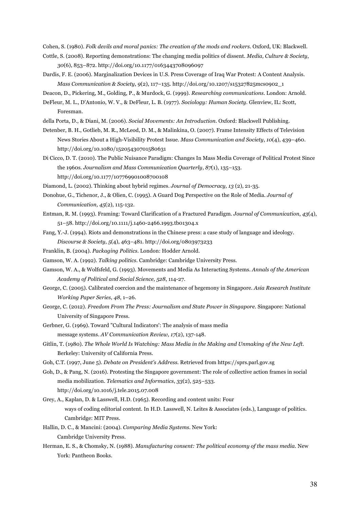Cohen, S. (1980). *Folk devils and moral panics: The creation of the mods and rockers.* Oxford, UK: Blackwell.

- Cottle, S. (2008). Reporting demonstrations: The changing media politics of dissent. *Media, Culture & Society*, *30*(6), 853–872. http://doi.org/10.1177/0163443708096097
- Dardis, F. E. (2006). Marginalization Devices in U.S. Press Coverage of Iraq War Protest: A Content Analysis. *Mass Communication & Society*, *9*(2), 117–135. http://doi.org/10.1207/s15327825mcs0902\_1

Deacon, D., Pickering, M., Golding, P., & Murdock, G. (1999). *Researching communications.* London: Arnold.

DeFleur, M. L., D'Antonio, W. V., & DeFleur, L. B. (1977). *Sociology: Human Society.* Glenview, IL: Scott, Foresman.

della Porta, D., & Diani, M. (2006). *Social Movements: An Introduction.* Oxford: Blackwell Publishing.

- Detenber, B. H., Gotlieb, M. R., McLeod, D. M., & Malinkina, O. (2007). Frame Intensity Effects of Television News Stories About a High-Visibility Protest Issue. *Mass Communication and Society*, *10*(4), 439–460. http://doi.org/10.1080/15205430701580631
- Di Cicco, D. T. (2010). The Public Nuisance Paradigm: Changes In Mass Media Coverage of Political Protest Since the 1960s. *Journalism and Mass Communication Quarterly*, *87*(1), 135–153. http://doi.org/10.1177/107769901008700108

Diamond, L. (2002). Thinking about hybrid regimes. *Journal of Democracy, 13* (2), 21-35.

- Donohue, G., Tichenor, J., & Olien, C. (1995). A Guard Dog Perspective on the Role of Media. *Journal of Communication, 45*(2), 115-132.
- Entman, R. M. (1993). Framing: Toward Clarification of a Fractured Paradigm. *Journal of Communication*, *43*(4), 51–58. http://doi.org/10.1111/j.1460-2466.1993.tb01304.x
- Fang, Y.-J. (1994). Riots and demonstrations in the Chinese press: a case study of language and ideology. *Discourse & Society*, *5*(4), 463–481. http://doi.org/0803973233
- Franklin, B. (2004). *Packaging Politics.* London: Hodder Arnold.

Gamson, W. A. (1992). *Talking politics*. Cambridge: Cambridge University Press.

- Gamson, W. A., & Wolfsfeld, G. (1993). Movements and Media As Interacting Systems. *Annals of the American Academy of Political and Social Science, 528*, 114-27.
- George, C. (2005). Calibrated coercion and the maintenance of hegemony in Singapore. *Asia Research Institute Working Paper Series, 48*, 1–26.
- George, C. (2012). *Freedom From The Press: Journalism and State Power in Singapore.* Singapore: National University of Singapore Press.
- Gerbner, G. (1969). Toward "Cultural Indicators': The analysis of mass media message systems. *AV Communication Review, 17*(2), 137-148.
- Gitlin, T. (1980). *The Whole World Is Watching: Mass Media in the Making and Unmaking of the New Left.* Berkeley: University of California Press.
- Goh, C.T. (1997, June 5). *Debate on President's Address.* Retrieved from https://sprs.parl.gov.sg
- Goh, D., & Pang, N. (2016). Protesting the Singapore government: The role of collective action frames in social media mobilization. *Telematics and Informatics*, *33*(2), 525–533.

http://doi.org/10.1016/j.tele.2015.07.008

- Grey, A., Kaplan, D. & Lasswell, H.D. (1965). Recording and content units: Four ways of coding editorial content. In H.D. Lasswell, N. Leites & Associates (eds.), Language of politics. Cambridge: MIT Press.
- Hallin, D. C., & Mancini: (2004). *Comparing Media Systems.* New York: Cambridge University Press.
- Herman, E. S., & Chomsky, N. (1988). *Manufacturing consent: The political economy of the mass media.* New York: Pantheon Books.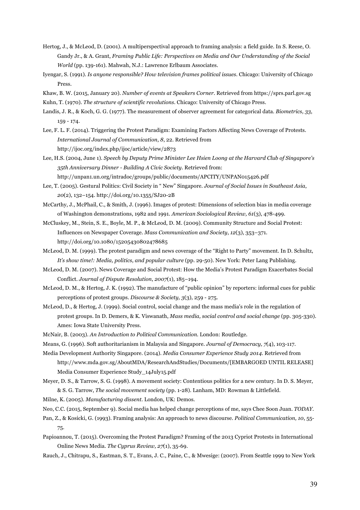- Hertog, J., & McLeod, D. (2001). A multiperspectival approach to framing analysis: a field guide. In S. Reese, O. Gandy Jr., & A. Grant, *Framing Public Life: Perspectives on Media and Our Understanding of the Social World* (pp. 139-161). Mahwah, N.J.: Lawrence Erlbaum Associates.
- Iyengar, S. (1991). *Is anyone responsible? How television frames political issues.* Chicago: University of Chicago Press.
- Khaw, B. W. (2015, January 20). *Number of events at Speakers Corner*. Retrieved from https://sprs.parl.gov.sg
- Kuhn, T. (1970). *The structure of scientific revolutions.* Chicago: University of Chicago Press.
- Landis, J. R., & Koch, G. G. (1977). The measurement of observer agreement for categorical data. *Biometrics, 33*, 159 - 174.
- Lee, F. L. F. (2014). Triggering the Protest Paradigm: Examining Factors Affecting News Coverage of Protests. *International Journal of Communication*, *8*, 22. Retrieved from http://ijoc.org/index.php/ijoc/article/view/2873
- Lee, H.S. (2004, June 1). *Speech by Deputy Prime Minister Lee Hsien Loong at the Harvard Club of Singapore's 35th Anniversary Dinner - Building A Civic Society*. Retrieved from: http://unpan1.un.org/intradoc/groups/public/documents/APCITY/UNPAN015426.pdf
- Lee, T. (2005). Gestural Politics: Civil Society in " New" Singapore. *Journal of Social Issues in Southeast Asia*, *20*(2), 132–154. http://doi.org/10.1355/SJ20-2B
- McCarthy, J., McPhail, C., & Smith, J. (1996). Images of protest: Dimensions of selection bias in media coverage of Washington demonstrations, 1982 and 1991. *American Sociological Review, 61*(3), 478-499.
- McCluskey, M., Stein, S. E., Boyle, M. P., & McLeod, D. M. (2009). Community Structure and Social Protest: Influences on Newspaper Coverage. *Mass Communication and Society*, *12*(3), 353–371. http://doi.org/10.1080/15205430802478685
- McLeod, D. M. (1999). The protest paradigm and news coverage of the "Right to Party" movement. In D. Schultz, *It's show time!: Media, politics, and popular culture* (pp. 29-50). New York: Peter Lang Publishing.
- McLeod, D. M. (2007). News Coverage and Social Protest: How the Media's Protest Paradigm Exacerbates Social Conflict. *Journal of Dispute Resolution*, *2007*(1), 185–194.
- McLeod, D. M., & Hertog, J. K. (1992). The manufacture of "public opinion" by reporters: informal cues for public perceptions of protest groups. *Discourse & Society, 3*(3), 259 - 275.
- McLeod, D., & Hertog, J. (1999). Social control, social change and the mass media's role in the regulation of protest groups. In D. Demers, & K. Viswanath, *Mass media, social control and social change* (pp. 305-330). Ames: Iowa State University Press.
- McNair, B. (2003). *An Introduction to Political Communication.* London: Routledge.
- Means, G. (1996). Soft authoritarianism in Malaysia and Singapore. *Journal of Democracy, 7*(4), 103-117.
- Media Development Authority Singapore. (2014). *Media Consumer Experience Study 2014*. Retrieved from http://www.mda.gov.sg/AboutMDA/ResearchAndStudies/Documents/[EMBARGOED UNTIL RELEASE] Media Consumer Experience Study\_14July15.pdf
- Meyer, D. S., & Tarrow, S. G. (1998). A movement society: Contentious politics for a new century. In D. S. Meyer, & S. G. Tarrow, *The social movement society* (pp. 1-28). Lanham, MD: Rowman & Littlefield.
- Milne, K. (2005). *Manufacturing dissent.* London, UK: Demos.
- Neo, C.C. (2015, September 9). Social media has helped change perceptions of me, says Chee Soon Juan. *TODAY*.
- Pan, Z., & Kosicki, G. (1993). Framing analysis: An approach to news discourse. *Political Communication, 10*, 55- 75.
- Papioannou, T. (2015). Overcoming the Protest Paradigm? Framing of the 2013 Cypriot Protests in International Online News Media. *The Cyprus Review, 27*(1), 35-69.
- Rauch, J., Chitrapu, S., Eastman, S. T., Evans, J. C., Paine, C., & Mwesige: (2007). From Seattle 1999 to New York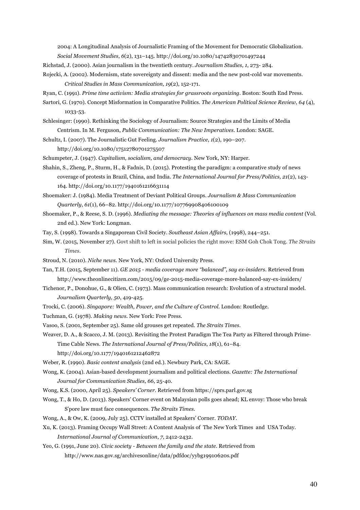2004: A Longitudinal Analysis of Journalistic Framing of the Movement for Democratic Globalization. *Social Movement Studies*, *6*(2), 131–145. http://doi.org/10.1080/14742830701497244

- Richstad, J. (2000). Asian journalism in the twentieth century. *Journalism Studies, 1*, 273- 284.
- Rojecki, A. (2002). Modernism, state sovereignty and dissent: media and the new post-cold war movements. *Critical Studies in Mass Communication, 19*(2), 152-171.
- Ryan, C. (1991). *Prime time activism: Media strategies for grassroots organizing.* Boston: South End Press.
- Sartori, G. (1970). Concept Misformation in Comparative Politics. *The American Political Science Review, 64* (4), 1033-53.
- Schlesinger: (1990). Rethinking the Sociology of Journalism: Source Strategies and the Limits of Media Centrism. In M. Ferguson, *Public Communication: The New Imperatives.* London: SAGE.
- Schultz, I. (2007). The Journalistic Gut Feeling. *Journalism Practice*, *1*(2), 190–207.

http://doi.org/10.1080/17512780701275507

Schumpeter, J. (1947). *Capitalism, socialism, and democracy.* New York, NY: Harper.

- Shahin, S., Zheng, P., Sturm, H., & Fadnis, D. (2015). Protesting the paradigm: a comparative study of news coverage of protests in Brazil, China, and India. *The International Journal for Press/Politics, 21*(2), 143- 164. http://doi.org/10.1177/1940161216631114
- Shoemaker: J. (1984). Media Treatment of Deviant Political Groups. *Journalism & Mass Communication Quarterly*, *61*(1), 66–82. http://doi.org/10.1177/107769908406100109
- Shoemaker, P., & Reese, S. D. (1996). *Mediating the message: Theories of influences on mass media content* (Vol. 2nd ed.). New York: Longman.
- Tay, S. (1998). Towards a Singaporean Civil Society. *Southeast Asian Affairs*, (1998), 244–251.
- Sim, W. (2015, November 27). Govt shift to left in social policies the right move: ESM Goh Chok Tong. *The Straits Times.*
- Stroud, N. (2010). *Niche news.* New York, NY: Oxford University Press.
- Tan, T.H. (2015, September 11). *GE 2015 - media coverage more "balanced", say ex-insiders*. Retrieved from http://www.theonlinecitizen.com/2015/09/ge-2015-media-coverage-more-balanced-say-ex-insiders/
- Tichenor, P., Donohue, G., & Olien, C. (1973). Mass communication research: Evolution of a structural model. *Journalism Quarterly, 50*, 419-425.
- Trocki, C. (2006). *Singapore: Wealth, Power, and the Culture of Control.* London: Routledge.

Tuchman, G. (1978). *Making news.* New York: Free Press.

- Vasoo, S. (2001, September 25). Same old grouses get repeated. *The Straits Times.*
- Weaver, D. A., & Scacco, J. M. (2013). Revisiting the Protest Paradigm The Tea Party as Filtered through Prime-Time Cable News. *The International Journal of Press/Politics*, *18*(1), 61–84. http://doi.org/10.1177/1940161212462872
- Weber, R. (1990). *Basic content analysis* (2nd ed.). Newbury Park, CA: SAGE.
- Wong, K. (2004). Asian-based development journalism and political elections. *Gazette: The International Journal for Communication Studies, 66*, 25-40.
- Wong, K.S. (2000, April 25). *Speakers' Corner.* Retrieved from https://sprs.parl.gov.sg
- Wong, T., & Ho, D. (2013). Speakers' Corner event on Malaysian polls goes ahead; KL envoy: Those who break S'pore law must face consequences. *The Straits Times.*
- Wong, A., & Ow, K. (2009, July 25). CCTV installed at Speakers' Corner. *TODAY*.
- Xu, K. (2013). Framing Occupy Wall Street: A Content Analysis of The New York Times and USA Today. *International Journal of Communication*, *7*, 2412-2432.
- Yeo, G. (1991, June 20). *Civic society - Between the family and the state*. Retrieved from http://www.nas.gov.sg/archivesonline/data/pdfdoc/yybg19910620s.pdf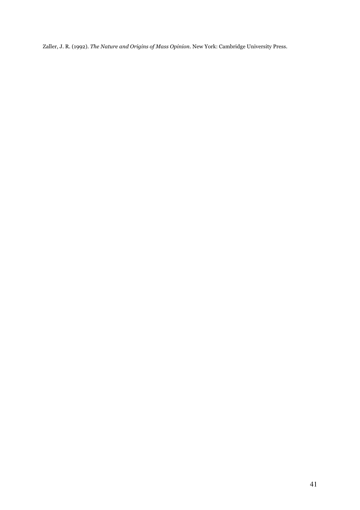Zaller, J. R. (1992). *The Nature and Origins of Mass Opinion.* New York: Cambridge University Press.